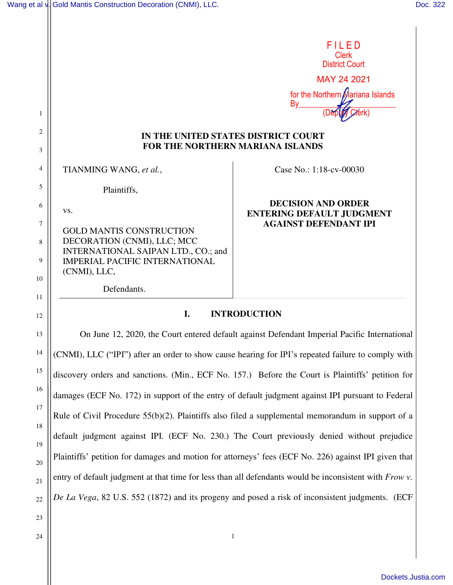| Wang et al v. Gold Mantis Construction Decoration (CNMI), LLC. | Doc. 322 |
|----------------------------------------------------------------|----------|
|----------------------------------------------------------------|----------|

|                                         | FILED                            |
|-----------------------------------------|----------------------------------|
|                                         | <b>Clerk</b>                     |
|                                         | <b>District Court</b>            |
|                                         | MAY 24 2021                      |
|                                         | for the Northern Mariana Islands |
|                                         | By                               |
|                                         |                                  |
| IN THE UNITED STATES DISTRICT COURT     |                                  |
| <b>FOR THE NORTHERN MARIANA ISLANDS</b> |                                  |
| TIANMING WANG, et al.,                  | Case No.: 1:18-cv-00030          |
| Plaintiffs,                             |                                  |
|                                         | <b>DECISION AND ORDER</b>        |
| VS.                                     | <b>ENTERING DEFAULT JUDGMENT</b> |
| <b>GOLD MANTIS CONSTRUCTION</b>         | <b>AGAINST DEFENDANT IPI</b>     |
| DECORATION (CNMI), LLC; MCC             |                                  |
| INTERNATIONAL SAIPAN LTD., CO.; and     |                                  |
| <b>IMPERIAL PACIFIC INTERNATIONAL</b>   |                                  |
| (CNMI), LLC,                            |                                  |
| Defendants.                             |                                  |
|                                         |                                  |
| I.                                      | <b>INTRODUCTION</b>              |

On June 12, 2020, the Court entered default against Defendant Imperial Pacific International (CNMI), LLC ("IPI") after an order to show cause hearing for IPI's repeated failure to comply with discovery orders and sanctions. (Min., ECF No. 157.) Before the Court is Plaintiffs' petition for damages (ECF No. 172) in support of the entry of default judgment against IPI pursuant to Federal Rule of Civil Procedure 55(b)(2). Plaintiffs also filed a supplemental memorandum in support of a default judgment against IPI. (ECF No. 230.) The Court previously denied without prejudice Plaintiffs' petition for damages and motion for attorneys' fees (ECF No. 226) against IPI given that entry of default judgment at that time for less than all defendants would be inconsistent with *Frow v. De La Vega*, 82 U.S. 552 (1872) and its progeny and posed a risk of inconsistent judgments. (ECF

1

24

23

13

14

15

16

17

18

19

20

21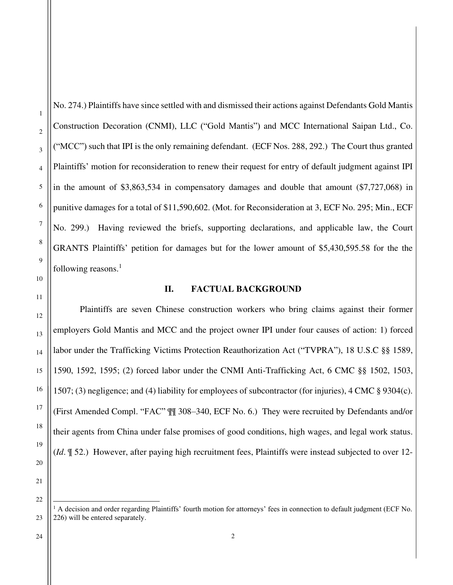No. 274.) Plaintiffs have since settled with and dismissed their actions against Defendants Gold Mantis Construction Decoration (CNMI), LLC ("Gold Mantis") and MCC International Saipan Ltd., Co. ("MCC") such that IPI is the only remaining defendant. (ECF Nos. 288, 292.) The Court thus granted Plaintiffs' motion for reconsideration to renew their request for entry of default judgment against IPI in the amount of \$3,863,534 in compensatory damages and double that amount (\$7,727,068) in punitive damages for a total of \$11,590,602. (Mot. for Reconsideration at 3, ECF No. 295; Min., ECF No. 299.) Having reviewed the briefs, supporting declarations, and applicable law, the Court GRANTS Plaintiffs' petition for damages but for the lower amount of \$5,430,595.58 for the the following reasons.<sup>1</sup>

### **II. FACTUAL BACKGROUND**

 Plaintiffs are seven Chinese construction workers who bring claims against their former employers Gold Mantis and MCC and the project owner IPI under four causes of action: 1) forced labor under the Trafficking Victims Protection Reauthorization Act ("TVPRA"), 18 U.S.C §§ 1589, 1590, 1592, 1595; (2) forced labor under the CNMI Anti-Trafficking Act, 6 CMC §§ 1502, 1503, 1507; (3) negligence; and (4) liability for employees of subcontractor (for injuries), 4 CMC § 9304(c). (First Amended Compl. "FAC" ¶¶ 308–340, ECF No. 6.) They were recruited by Defendants and/or their agents from China under false promises of good conditions, high wages, and legal work status. (*Id*. ¶ 52.) However, after paying high recruitment fees, Plaintiffs were instead subjected to over 12-

 $1$  A decision and order regarding Plaintiffs' fourth motion for attorneys' fees in connection to default judgment (ECF No. 226) will be entered separately.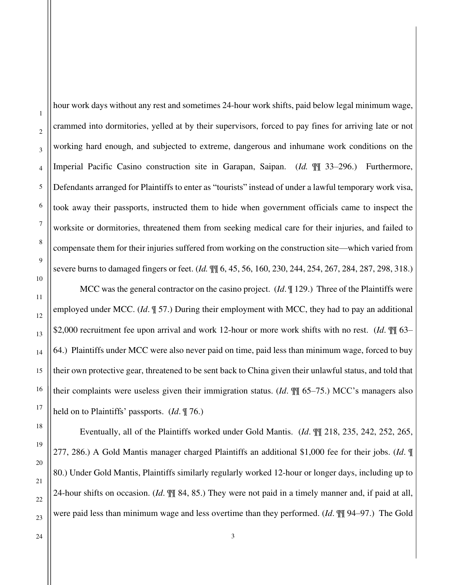hour work days without any rest and sometimes 24-hour work shifts, paid below legal minimum wage, crammed into dormitories, yelled at by their supervisors, forced to pay fines for arriving late or not working hard enough, and subjected to extreme, dangerous and inhumane work conditions on the Imperial Pacific Casino construction site in Garapan, Saipan. (*Id.* ¶¶ 33–296.) Furthermore, Defendants arranged for Plaintiffs to enter as "tourists" instead of under a lawful temporary work visa, took away their passports, instructed them to hide when government officials came to inspect the worksite or dormitories, threatened them from seeking medical care for their injuries, and failed to compensate them for their injuries suffered from working on the construction site—which varied from severe burns to damaged fingers or feet. (*Id.* ¶¶ 6, 45, 56, 160, 230, 244, 254, 267, 284, 287, 298, 318.)

 MCC was the general contractor on the casino project. (*Id*. ¶ 129.) Three of the Plaintiffs were employed under MCC. (*Id*. ¶ 57.) During their employment with MCC, they had to pay an additional \$2,000 recruitment fee upon arrival and work 12-hour or more work shifts with no rest. (*Id.*  $\P$  63– 64.) Plaintiffs under MCC were also never paid on time, paid less than minimum wage, forced to buy their own protective gear, threatened to be sent back to China given their unlawful status, and told that their complaints were useless given their immigration status. (*Id*. ¶¶ 65–75.) MCC's managers also held on to Plaintiffs' passports. (*Id*. ¶ 76.)

 Eventually, all of the Plaintiffs worked under Gold Mantis. (*Id*. ¶¶ 218, 235, 242, 252, 265, 277, 286.) A Gold Mantis manager charged Plaintiffs an additional \$1,000 fee for their jobs. (*Id*. ¶ 80.) Under Gold Mantis, Plaintiffs similarly regularly worked 12-hour or longer days, including up to 24-hour shifts on occasion. (*Id*. ¶¶ 84, 85.) They were not paid in a timely manner and, if paid at all, were paid less than minimum wage and less overtime than they performed. (*Id*. ¶¶ 94–97.) The Gold

1

2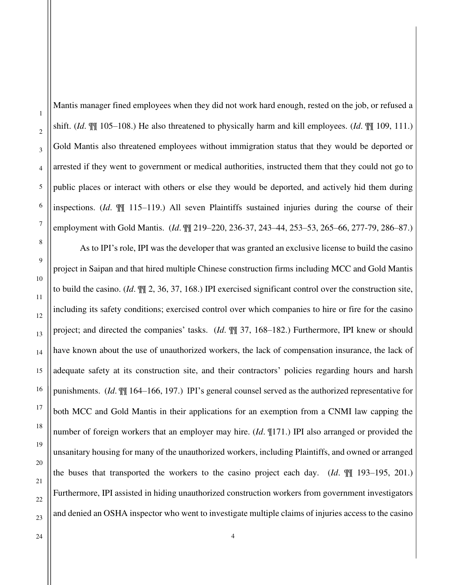1

Mantis manager fined employees when they did not work hard enough, rested on the job, or refused a shift. (*Id*. ¶¶ 105–108.) He also threatened to physically harm and kill employees. (*Id*. ¶¶ 109, 111.) Gold Mantis also threatened employees without immigration status that they would be deported or arrested if they went to government or medical authorities, instructed them that they could not go to public places or interact with others or else they would be deported, and actively hid them during inspections. (*Id*. ¶¶ 115–119.) All seven Plaintiffs sustained injuries during the course of their employment with Gold Mantis. (*Id*. ¶¶ 219–220, 236-37, 243–44, 253–53, 265–66, 277-79, 286–87.)

As to IPI's role, IPI was the developer that was granted an exclusive license to build the casino project in Saipan and that hired multiple Chinese construction firms including MCC and Gold Mantis to build the casino. (*Id*. ¶¶ 2, 36, 37, 168.) IPI exercised significant control over the construction site, including its safety conditions; exercised control over which companies to hire or fire for the casino project; and directed the companies' tasks. (*Id*. ¶¶ 37, 168–182.) Furthermore, IPI knew or should have known about the use of unauthorized workers, the lack of compensation insurance, the lack of adequate safety at its construction site, and their contractors' policies regarding hours and harsh punishments. (*Id*. ¶¶ 164–166, 197.) IPI's general counsel served as the authorized representative for both MCC and Gold Mantis in their applications for an exemption from a CNMI law capping the number of foreign workers that an employer may hire. (*Id*. ¶171.) IPI also arranged or provided the unsanitary housing for many of the unauthorized workers, including Plaintiffs, and owned or arranged the buses that transported the workers to the casino project each day. (*Id*. ¶¶ 193–195, 201.) Furthermore, IPI assisted in hiding unauthorized construction workers from government investigators and denied an OSHA inspector who went to investigate multiple claims of injuries access to the casino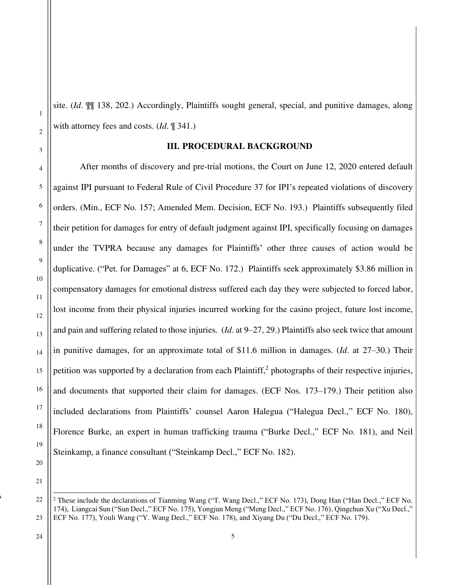site. (*Id*. ¶¶ 138, 202.) Accordingly, Plaintiffs sought general, special, and punitive damages, along with attorney fees and costs. (*Id*. ¶ 341.)

## **III. PROCEDURAL BACKGROUND**

 After months of discovery and pre-trial motions, the Court on June 12, 2020 entered default against IPI pursuant to Federal Rule of Civil Procedure 37 for IPI's repeated violations of discovery orders. (Min., ECF No. 157; Amended Mem. Decision, ECF No. 193.) Plaintiffs subsequently filed their petition for damages for entry of default judgment against IPI, specifically focusing on damages under the TVPRA because any damages for Plaintiffs' other three causes of action would be duplicative. ("Pet. for Damages" at 6, ECF No. 172.) Plaintiffs seek approximately \$3.86 million in compensatory damages for emotional distress suffered each day they were subjected to forced labor, lost income from their physical injuries incurred working for the casino project, future lost income, and pain and suffering related to those injuries. (*Id*. at 9–27, 29.) Plaintiffs also seek twice that amount in punitive damages, for an approximate total of \$11.6 million in damages. (*Id*. at 27–30.) Their petition was supported by a declaration from each Plaintiff,<sup>2</sup> photographs of their respective injuries, and documents that supported their claim for damages. (ECF Nos. 173–179.) Their petition also included declarations from Plaintiffs' counsel Aaron Halegua ("Halegua Decl.," ECF No. 180), Florence Burke, an expert in human trafficking trauma ("Burke Decl.," ECF No. 181), and Neil Steinkamp, a finance consultant ("Steinkamp Decl.," ECF No. 182).

1

2

3

4

5

6

7

8

9

10

11

12

13

14

15

16

17

18

19

20

<sup>21</sup>

<sup>22</sup> 23 <sup>2</sup> These include the declarations of Tianming Wang ("T. Wang Decl.," ECF No. 173), Dong Han ("Han Decl.," ECF No. 174), Liangcai Sun ("Sun Decl.," ECF No. 175), Yongjun Meng ("Meng Decl.," ECF No. 176), Qingchun Xu ("Xu Decl.," ECF No. 177), Youli Wang ("Y. Wang Decl.," ECF No. 178), and Xiyang Du ("Du Decl.," ECF No. 179).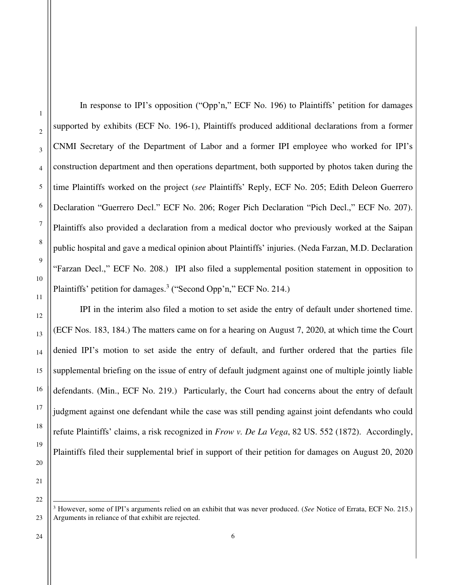In response to IPI's opposition ("Opp'n," ECF No. 196) to Plaintiffs' petition for damages supported by exhibits (ECF No. 196-1), Plaintiffs produced additional declarations from a former CNMI Secretary of the Department of Labor and a former IPI employee who worked for IPI's construction department and then operations department, both supported by photos taken during the time Plaintiffs worked on the project (*see* Plaintiffs' Reply, ECF No. 205; Edith Deleon Guerrero Declaration "Guerrero Decl." ECF No. 206; Roger Pich Declaration "Pich Decl.," ECF No. 207). Plaintiffs also provided a declaration from a medical doctor who previously worked at the Saipan public hospital and gave a medical opinion about Plaintiffs' injuries. (Neda Farzan, M.D. Declaration "Farzan Decl.," ECF No. 208.) IPI also filed a supplemental position statement in opposition to Plaintiffs' petition for damages.<sup>3</sup> ("Second Opp'n," ECF No. 214.)

 IPI in the interim also filed a motion to set aside the entry of default under shortened time. (ECF Nos. 183, 184.) The matters came on for a hearing on August 7, 2020, at which time the Court denied IPI's motion to set aside the entry of default, and further ordered that the parties file supplemental briefing on the issue of entry of default judgment against one of multiple jointly liable defendants. (Min., ECF No. 219.) Particularly, the Court had concerns about the entry of default judgment against one defendant while the case was still pending against joint defendants who could refute Plaintiffs' claims, a risk recognized in *Frow v. De La Vega*, 82 US. 552 (1872). Accordingly, Plaintiffs filed their supplemental brief in support of their petition for damages on August 20, 2020

<sup>3</sup> However, some of IPI's arguments relied on an exhibit that was never produced. (*See* Notice of Errata, ECF No. 215.) Arguments in reliance of that exhibit are rejected.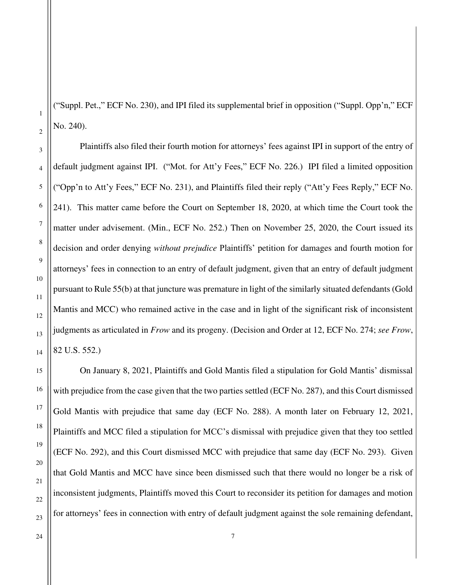("Suppl. Pet.," ECF No. 230), and IPI filed its supplemental brief in opposition ("Suppl. Opp'n," ECF No. 240).

Plaintiffs also filed their fourth motion for attorneys' fees against IPI in support of the entry of default judgment against IPI. ("Mot. for Att'y Fees," ECF No. 226.) IPI filed a limited opposition ("Opp'n to Att'y Fees," ECF No. 231), and Plaintiffs filed their reply ("Att'y Fees Reply," ECF No. 241). This matter came before the Court on September 18, 2020, at which time the Court took the matter under advisement. (Min., ECF No. 252.) Then on November 25, 2020, the Court issued its decision and order denying *without prejudice* Plaintiffs' petition for damages and fourth motion for attorneys' fees in connection to an entry of default judgment, given that an entry of default judgment pursuant to Rule 55(b) at that juncture was premature in light of the similarly situated defendants (Gold Mantis and MCC) who remained active in the case and in light of the significant risk of inconsistent judgments as articulated in *Frow* and its progeny. (Decision and Order at 12, ECF No. 274; *see Frow*, 82 U.S. 552.)

On January 8, 2021, Plaintiffs and Gold Mantis filed a stipulation for Gold Mantis' dismissal with prejudice from the case given that the two parties settled (ECF No. 287), and this Court dismissed Gold Mantis with prejudice that same day (ECF No. 288). A month later on February 12, 2021, Plaintiffs and MCC filed a stipulation for MCC's dismissal with prejudice given that they too settled (ECF No. 292), and this Court dismissed MCC with prejudice that same day (ECF No. 293). Given that Gold Mantis and MCC have since been dismissed such that there would no longer be a risk of inconsistent judgments, Plaintiffs moved this Court to reconsider its petition for damages and motion for attorneys' fees in connection with entry of default judgment against the sole remaining defendant,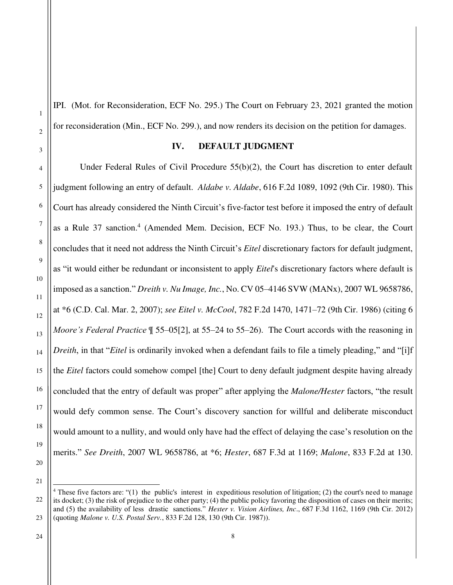IPI. (Mot. for Reconsideration, ECF No. 295.) The Court on February 23, 2021 granted the motion for reconsideration (Min., ECF No. 299.), and now renders its decision on the petition for damages.

### **IV. DEFAULT JUDGMENT**

Under Federal Rules of Civil Procedure 55(b)(2), the Court has discretion to enter default judgment following an entry of default. *Aldabe v. Aldabe*, 616 F.2d 1089, 1092 (9th Cir. 1980). This Court has already considered the Ninth Circuit's five-factor test before it imposed the entry of default as a Rule 37 sanction.<sup>4</sup> (Amended Mem. Decision, ECF No. 193.) Thus, to be clear, the Court concludes that it need not address the Ninth Circuit's *Eitel* discretionary factors for default judgment, as "it would either be redundant or inconsistent to apply *Eitel*'s discretionary factors where default is imposed as a sanction." *Dreith v. Nu Image, Inc.*, No. CV 05–4146 SVW (MANx), 2007 WL 9658786, at \*6 (C.D. Cal. Mar. 2, 2007); *see Eitel v. McCool*, 782 F.2d 1470, 1471–72 (9th Cir. 1986) (citing 6 *Moore's Federal Practice*  $\parallel$  55–05[2], at 55–24 to 55–26). The Court accords with the reasoning in *Dreith*, in that "*Eitel* is ordinarily invoked when a defendant fails to file a timely pleading," and "[i]f the *Eitel* factors could somehow compel [the] Court to deny default judgment despite having already concluded that the entry of default was proper" after applying the *Malone/Hester* factors, "the result would defy common sense. The Court's discovery sanction for willful and deliberate misconduct would amount to a nullity, and would only have had the effect of delaying the case's resolution on the merits." *See Dreith*, 2007 WL 9658786, at \*6; *Hester*, 687 F.3d at 1169; *Malone*, 833 F.2d at 130.

21

1

2

3

4

5

6

7

8

9

10

11

12

13

14

15

16

17

18

19

<sup>22</sup> 23 <sup>4</sup> These five factors are: "(1) the public's interest in expeditious resolution of litigation; (2) the court's need to manage its docket; (3) the risk of prejudice to the other party; (4) the public policy favoring the disposition of cases on their merits; and (5) the availability of less drastic sanctions." *Hester v. Vision Airlines, Inc*., 687 F.3d 1162, 1169 (9th Cir. 2012) (quoting *Malone v. U.S. Postal Serv.*, 833 F.2d 128, 130 (9th Cir. 1987)).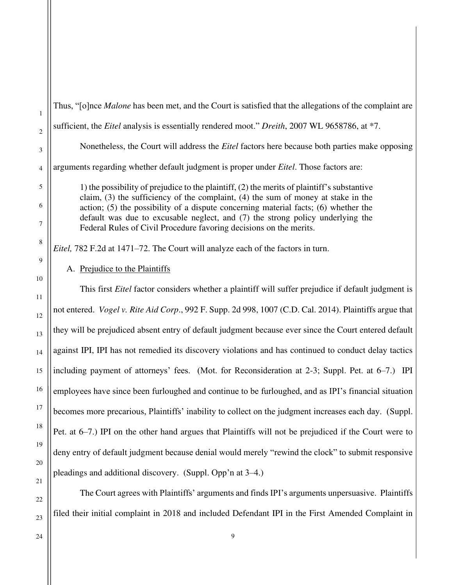Thus, "[o]nce *Malone* has been met, and the Court is satisfied that the allegations of the complaint are

sufficient, the *Eitel* analysis is essentially rendered moot." *Dreith*, 2007 WL 9658786, at \*7.

Nonetheless, the Court will address the *Eitel* factors here because both parties make opposing

arguments regarding whether default judgment is proper under *Eitel*. Those factors are:

1) the possibility of prejudice to the plaintiff, (2) the merits of plaintiff's substantive claim, (3) the sufficiency of the complaint, (4) the sum of money at stake in the action; (5) the possibility of a dispute concerning material facts; (6) whether the default was due to excusable neglect, and (7) the strong policy underlying the Federal Rules of Civil Procedure favoring decisions on the merits.

*Eitel,* 782 F.2d at 1471–72. The Court will analyze each of the factors in turn.

# A. Prejudice to the Plaintiffs

This first *Eitel* factor considers whether a plaintiff will suffer prejudice if default judgment is not entered. *Vogel v. Rite Aid Corp*., 992 F. Supp. 2d 998, 1007 (C.D. Cal. 2014). Plaintiffs argue that they will be prejudiced absent entry of default judgment because ever since the Court entered default against IPI, IPI has not remedied its discovery violations and has continued to conduct delay tactics including payment of attorneys' fees. (Mot. for Reconsideration at 2-3; Suppl. Pet. at 6–7.) IPI employees have since been furloughed and continue to be furloughed, and as IPI's financial situation becomes more precarious, Plaintiffs' inability to collect on the judgment increases each day. (Suppl. Pet. at 6–7.) IPI on the other hand argues that Plaintiffs will not be prejudiced if the Court were to deny entry of default judgment because denial would merely "rewind the clock" to submit responsive pleadings and additional discovery. (Suppl. Opp'n at 3–4.)

The Court agrees with Plaintiffs' arguments and finds IPI's arguments unpersuasive. Plaintiffs filed their initial complaint in 2018 and included Defendant IPI in the First Amended Complaint in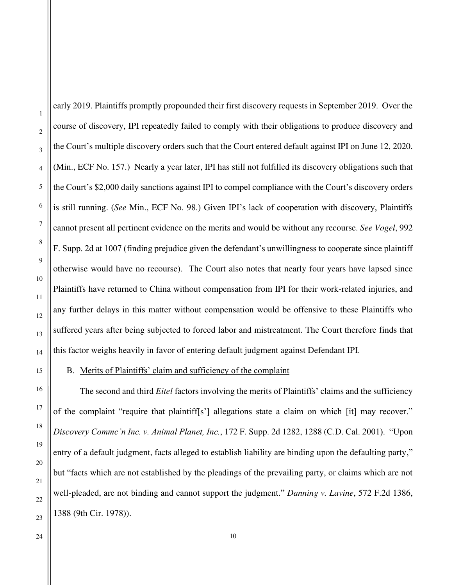early 2019. Plaintiffs promptly propounded their first discovery requests in September 2019. Over the course of discovery, IPI repeatedly failed to comply with their obligations to produce discovery and the Court's multiple discovery orders such that the Court entered default against IPI on June 12, 2020. (Min., ECF No. 157.) Nearly a year later, IPI has still not fulfilled its discovery obligations such that the Court's \$2,000 daily sanctions against IPI to compel compliance with the Court's discovery orders is still running. (*See* Min., ECF No. 98.) Given IPI's lack of cooperation with discovery, Plaintiffs cannot present all pertinent evidence on the merits and would be without any recourse. *See Vogel*, 992 F. Supp. 2d at 1007 (finding prejudice given the defendant's unwillingness to cooperate since plaintiff otherwise would have no recourse). The Court also notes that nearly four years have lapsed since Plaintiffs have returned to China without compensation from IPI for their work-related injuries, and any further delays in this matter without compensation would be offensive to these Plaintiffs who suffered years after being subjected to forced labor and mistreatment. The Court therefore finds that this factor weighs heavily in favor of entering default judgment against Defendant IPI.

### B. Merits of Plaintiffs' claim and sufficiency of the complaint

The second and third *Eitel* factors involving the merits of Plaintiffs' claims and the sufficiency of the complaint "require that plaintiff[s'] allegations state a claim on which [it] may recover." *Discovery Commc'n Inc. v. Animal Planet, Inc.*, 172 F. Supp. 2d 1282, 1288 (C.D. Cal. 2001). "Upon entry of a default judgment, facts alleged to establish liability are binding upon the defaulting party," but "facts which are not established by the pleadings of the prevailing party, or claims which are not well-pleaded, are not binding and cannot support the judgment." *Danning v. Lavine*, 572 F.2d 1386, 1388 (9th Cir. 1978)).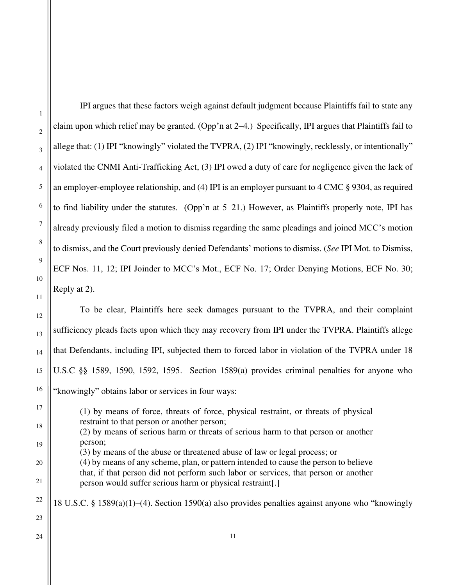IPI argues that these factors weigh against default judgment because Plaintiffs fail to state any claim upon which relief may be granted. (Opp'n at 2–4.) Specifically, IPI argues that Plaintiffs fail to allege that: (1) IPI "knowingly" violated the TVPRA, (2) IPI "knowingly, recklessly, or intentionally" violated the CNMI Anti-Trafficking Act, (3) IPI owed a duty of care for negligence given the lack of an employer-employee relationship, and (4) IPI is an employer pursuant to 4 CMC § 9304, as required to find liability under the statutes. (Opp'n at 5–21.) However, as Plaintiffs properly note, IPI has already previously filed a motion to dismiss regarding the same pleadings and joined MCC's motion to dismiss, and the Court previously denied Defendants' motions to dismiss. (*See* IPI Mot. to Dismiss, ECF Nos. 11, 12; IPI Joinder to MCC's Mot., ECF No. 17; Order Denying Motions, ECF No. 30; Reply at 2).

To be clear, Plaintiffs here seek damages pursuant to the TVPRA, and their complaint sufficiency pleads facts upon which they may recovery from IPI under the TVPRA. Plaintiffs allege that Defendants, including IPI, subjected them to forced labor in violation of the TVPRA under 18 U.S.C §§ 1589, 1590, 1592, 1595. Section 1589(a) provides criminal penalties for anyone who "knowingly" obtains labor or services in four ways:

(1) by means of force, threats of force, physical restraint, or threats of physical restraint to that person or another person; (2) by means of serious harm or threats of serious harm to that person or another person; (3) by means of the abuse or threatened abuse of law or legal process; or (4) by means of any scheme, plan, or pattern intended to cause the person to believe that, if that person did not perform such labor or services, that person or another person would suffer serious harm or physical restraint[.]

18 U.S.C. § 1589(a)(1)–(4). Section 1590(a) also provides penalties against anyone who "knowingly

21 22 23

1

2

3

4

5

6

7

8

9

10

11

12

13

14

15

16

17

18

19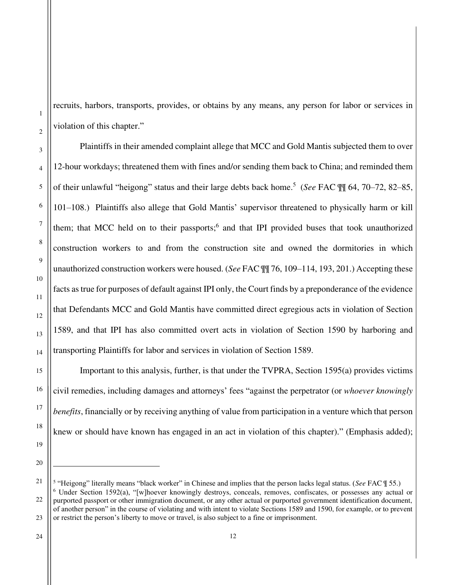recruits, harbors, transports, provides, or obtains by any means, any person for labor or services in violation of this chapter."

 Plaintiffs in their amended complaint allege that MCC and Gold Mantis subjected them to over 12-hour workdays; threatened them with fines and/or sending them back to China; and reminded them of their unlawful "heigong" status and their large debts back home.<sup>5</sup> (*See* FAC ¶¶ 64, 70–72, 82–85, 101–108.) Plaintiffs also allege that Gold Mantis' supervisor threatened to physically harm or kill them; that MCC held on to their passports;<sup>6</sup> and that IPI provided buses that took unauthorized construction workers to and from the construction site and owned the dormitories in which unauthorized construction workers were housed. (*See* FAC ¶¶ 76, 109–114, 193, 201.) Accepting these facts as true for purposes of default against IPI only, the Court finds by a preponderance of the evidence that Defendants MCC and Gold Mantis have committed direct egregious acts in violation of Section 1589, and that IPI has also committed overt acts in violation of Section 1590 by harboring and transporting Plaintiffs for labor and services in violation of Section 1589.

Important to this analysis, further, is that under the TVPRA, Section 1595(a) provides victims civil remedies, including damages and attorneys' fees "against the perpetrator (or *whoever knowingly benefits*, financially or by receiving anything of value from participation in a venture which that person knew or should have known has engaged in an act in violation of this chapter)." (Emphasis added);

20

21

1

2

3

4

5

6

7

8

9

10

11

12

13

14

15

16

17

18

<sup>5</sup> "Heigong" literally means "black worker" in Chinese and implies that the person lacks legal status. (*See* FAC ¶ 55.)

<sup>22</sup> 23 <sup>6</sup> Under Section 1592(a), "[w]hoever knowingly destroys, conceals, removes, confiscates, or possesses any actual or purported passport or other immigration document, or any other actual or purported government identification document, of another person" in the course of violating and with intent to violate Sections 1589 and 1590, for example, or to prevent or restrict the person's liberty to move or travel, is also subject to a fine or imprisonment.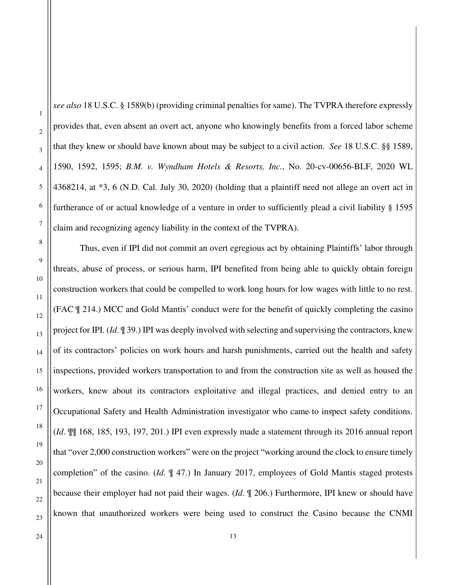*see also* 18 U.S.C. § 1589(b) (providing criminal penalties for same). The TVPRA therefore expressly provides that, even absent an overt act, anyone who knowingly benefits from a forced labor scheme that they knew or should have known about may be subject to a civil action. *See* 18 U.S.C. §§ 1589, 1590, 1592, 1595; *B.M. v. Wyndham Hotels & Resorts, Inc.*, No. 20-cv-00656-BLF, 2020 WL 4368214, at \*3, 6 (N.D. Cal. July 30, 2020) (holding that a plaintiff need not allege an overt act in furtherance of or actual knowledge of a venture in order to sufficiently plead a civil liability § 1595 claim and recognizing agency liability in the context of the TVPRA).

Thus, even if IPI did not commit an overt egregious act by obtaining Plaintiffs' labor through threats, abuse of process, or serious harm, IPI benefited from being able to quickly obtain foreign construction workers that could be compelled to work long hours for low wages with little to no rest. (FAC ¶ 214.) MCC and Gold Mantis' conduct were for the benefit of quickly completing the casino project for IPI. (*Id*. ¶ 39.) IPI was deeply involved with selecting and supervising the contractors, knew of its contractors' policies on work hours and harsh punishments, carried out the health and safety inspections, provided workers transportation to and from the construction site as well as housed the workers, knew about its contractors exploitative and illegal practices, and denied entry to an Occupational Safety and Health Administration investigator who came to inspect safety conditions. (*Id*. ¶¶ 168, 185, 193, 197, 201.) IPI even expressly made a statement through its 2016 annual report that "over 2,000 construction workers" were on the project "working around the clock to ensure timely completion" of the casino. (*Id*. ¶ 47.) In January 2017, employees of Gold Mantis staged protests because their employer had not paid their wages. (*Id*. ¶ 206.) Furthermore, IPI knew or should have known that unauthorized workers were being used to construct the Casino because the CNMI

24

1

2

3

4

5

6

7

8

9

10

11

12

13

14

15

16

17

18

19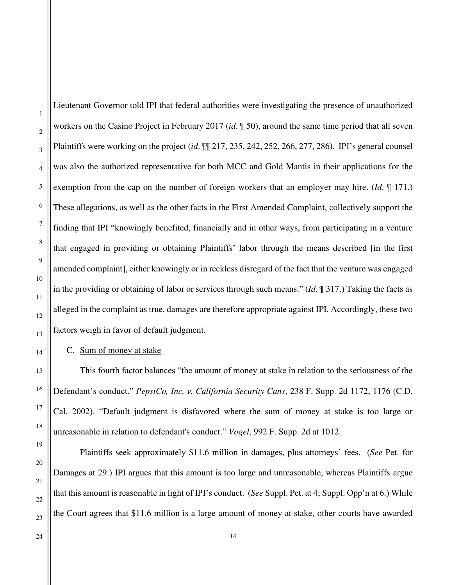Lieutenant Governor told IPI that federal authorities were investigating the presence of unauthorized workers on the Casino Project in February 2017 (*id*. ¶ 50), around the same time period that all seven Plaintiffs were working on the project (*id*. ¶¶ 217, 235, 242, 252, 266, 277, 286). IPI's general counsel was also the authorized representative for both MCC and Gold Mantis in their applications for the exemption from the cap on the number of foreign workers that an employer may hire. (*Id*. ¶ 171.) These allegations, as well as the other facts in the First Amended Complaint, collectively support the finding that IPI "knowingly benefited, financially and in other ways, from participating in a venture that engaged in providing or obtaining Plaintiffs' labor through the means described [in the first amended complaint], either knowingly or in reckless disregard of the fact that the venture was engaged in the providing or obtaining of labor or services through such means." (*Id*. ¶ 317.) Taking the facts as alleged in the complaint as true, damages are therefore appropriate against IPI. Accordingly, these two factors weigh in favor of default judgment.

# C. Sum of money at stake

This fourth factor balances "the amount of money at stake in relation to the seriousness of the Defendant's conduct." *PepsiCo, Inc. v. California Security Cans*, 238 F. Supp. 2d 1172, 1176 (C.D. Cal. 2002). "Default judgment is disfavored where the sum of money at stake is too large or unreasonable in relation to defendant's conduct." *Vogel*, 992 F. Supp. 2d at 1012.

Plaintiffs seek approximately \$11.6 million in damages, plus attorneys' fees. (*See* Pet. for Damages at 29.) IPI argues that this amount is too large and unreasonable, whereas Plaintiffs argue that this amount is reasonable in light of IPI's conduct. (*See* Suppl. Pet. at 4; Suppl. Opp'n at 6.) While the Court agrees that \$11.6 million is a large amount of money at stake, other courts have awarded

22 23

24

1

2

3

4

5

6

7

8

9

10

11

12

13

14

15

16

17

18

19

20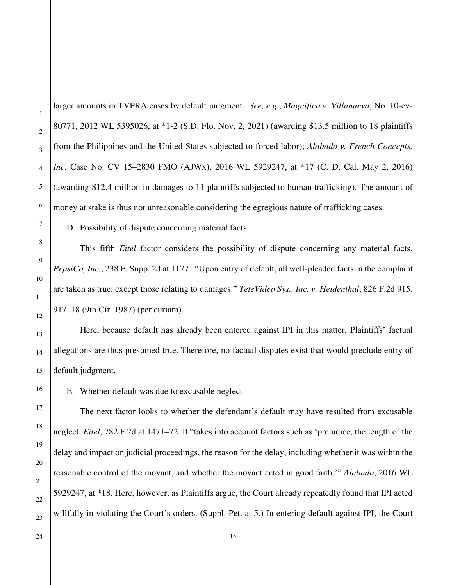larger amounts in TVPRA cases by default judgment. *See, e.g.*, *Magnifico v. Villanueva*, No. 10-cv-80771, 2012 WL 5395026, at \*1-2 (S.D. Flo. Nov. 2, 2021) (awarding \$13.5 million to 18 plaintiffs from the Philippines and the United States subjected to forced labor); *Alabado v. French Concepts, Inc.* Case No. CV 15–2830 FMO (AJWx), 2016 WL 5929247, at \*17 (C. D. Cal. May 2, 2016) (awarding \$12.4 million in damages to 11 plaintiffs subjected to human trafficking). The amount of money at stake is thus not unreasonable considering the egregious nature of trafficking cases.

#### D. Possibility of dispute concerning material facts

This fifth *Eitel* factor considers the possibility of dispute concerning any material facts. *PepsiCo, Inc.*, 238 F. Supp. 2d at 1177. "Upon entry of default, all well-pleaded facts in the complaint are taken as true, except those relating to damages." *TeleVideo Sys., Inc. v. Heidenthal*, 826 F.2d 915, 917–18 (9th Cir. 1987) (per curiam)..

Here, because default has already been entered against IPI in this matter, Plaintiffs' factual allegations are thus presumed true. Therefore, no factual disputes exist that would preclude entry of default judgment.

E. Whether default was due to excusable neglect

The next factor looks to whether the defendant's default may have resulted from excusable neglect. *Eitel*, 782 F.2d at 1471–72. It "takes into account factors such as 'prejudice, the length of the delay and impact on judicial proceedings, the reason for the delay, including whether it was within the reasonable control of the movant, and whether the movant acted in good faith.'" *Alabado*, 2016 WL 5929247, at \*18. Here, however, as Plaintiffs argue, the Court already repeatedly found that IPI acted willfully in violating the Court's orders. (Suppl. Pet. at 5.) In entering default against IPI, the Court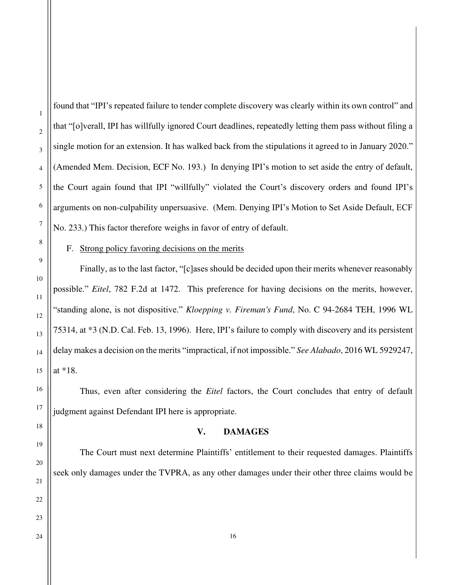found that "IPI's repeated failure to tender complete discovery was clearly within its own control" and that "[o]verall, IPI has willfully ignored Court deadlines, repeatedly letting them pass without filing a single motion for an extension. It has walked back from the stipulations it agreed to in January 2020." (Amended Mem. Decision, ECF No. 193.) In denying IPI's motion to set aside the entry of default, the Court again found that IPI "willfully" violated the Court's discovery orders and found IPI's arguments on non-culpability unpersuasive. (Mem. Denying IPI's Motion to Set Aside Default, ECF No. 233.) This factor therefore weighs in favor of entry of default.

F. Strong policy favoring decisions on the merits

Finally, as to the last factor, "[c]ases should be decided upon their merits whenever reasonably possible." *Eitel*, 782 F.2d at 1472. This preference for having decisions on the merits, however, "standing alone, is not dispositive." *Kloepping v. Fireman's Fund*, No. C 94-2684 TEH, 1996 WL 75314, at \*3 (N.D. Cal. Feb. 13, 1996). Here, IPI's failure to comply with discovery and its persistent delay makes a decision on the merits "impractical, if not impossible." *See Alabado*, 2016 WL 5929247, at \*18.

Thus, even after considering the *Eitel* factors, the Court concludes that entry of default judgment against Defendant IPI here is appropriate.

### **V. DAMAGES**

The Court must next determine Plaintiffs' entitlement to their requested damages. Plaintiffs seek only damages under the TVPRA, as any other damages under their other three claims would be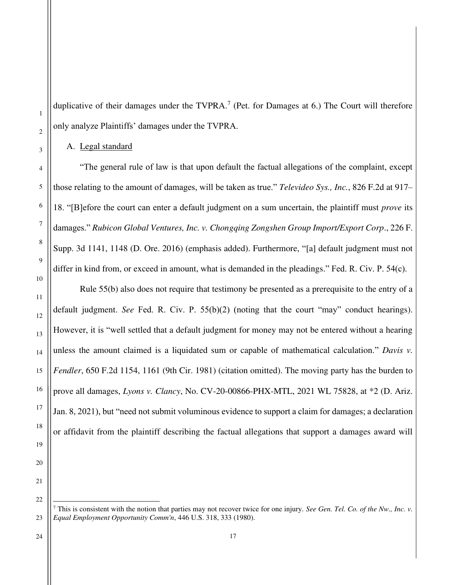duplicative of their damages under the TVPRA.<sup>7</sup> (Pet. for Damages at 6.) The Court will therefore only analyze Plaintiffs' damages under the TVPRA.

A. Legal standard

"The general rule of law is that upon default the factual allegations of the complaint, except those relating to the amount of damages, will be taken as true." *Televideo Sys., Inc.*, 826 F.2d at 917– 18. "[B]efore the court can enter a default judgment on a sum uncertain, the plaintiff must *prove* its damages." *Rubicon Global Ventures, Inc. v. Chongqing Zongshen Group Import/Export Corp*., 226 F. Supp. 3d 1141, 1148 (D. Ore. 2016) (emphasis added). Furthermore, "[a] default judgment must not differ in kind from, or exceed in amount, what is demanded in the pleadings." Fed. R. Civ. P. 54(c).

Rule 55(b) also does not require that testimony be presented as a prerequisite to the entry of a default judgment. *See* Fed. R. Civ. P. 55(b)(2) (noting that the court "may" conduct hearings). However, it is "well settled that a default judgment for money may not be entered without a hearing unless the amount claimed is a liquidated sum or capable of mathematical calculation." *Davis v. Fendler*, 650 F.2d 1154, 1161 (9th Cir. 1981) (citation omitted). The moving party has the burden to prove all damages, *Lyons v. Clancy*, No. CV-20-00866-PHX-MTL, 2021 WL 75828, at \*2 (D. Ariz. Jan. 8, 2021), but "need not submit voluminous evidence to support a claim for damages; a declaration or affidavit from the plaintiff describing the factual allegations that support a damages award will

1

<sup>7</sup> This is consistent with the notion that parties may not recover twice for one injury*. See Gen. Tel. Co. of the Nw., Inc. v. Equal Employment Opportunity Comm'n*, 446 U.S. 318, 333 (1980).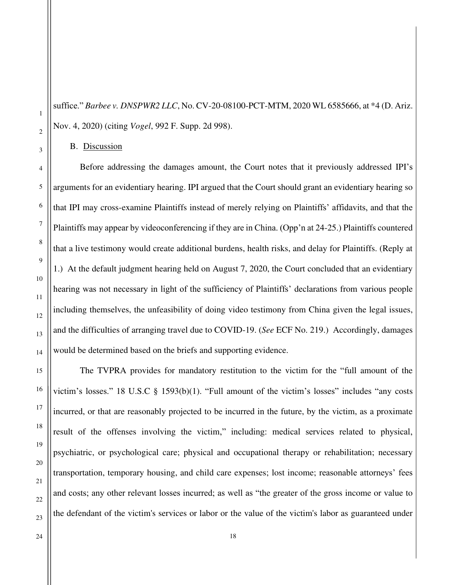suffice." *Barbee v. DNSPWR2 LLC*, No. CV-20-08100-PCT-MTM, 2020 WL 6585666, at \*4 (D. Ariz. Nov. 4, 2020) (citing *Vogel*, 992 F. Supp. 2d 998).

B. Discussion

Before addressing the damages amount, the Court notes that it previously addressed IPI's arguments for an evidentiary hearing. IPI argued that the Court should grant an evidentiary hearing so that IPI may cross-examine Plaintiffs instead of merely relying on Plaintiffs' affidavits, and that the Plaintiffs may appear by videoconferencing if they are in China. (Opp'n at 24-25.) Plaintiffs countered that a live testimony would create additional burdens, health risks, and delay for Plaintiffs. (Reply at 1.) At the default judgment hearing held on August 7, 2020, the Court concluded that an evidentiary hearing was not necessary in light of the sufficiency of Plaintiffs' declarations from various people including themselves, the unfeasibility of doing video testimony from China given the legal issues, and the difficulties of arranging travel due to COVID-19. (*See* ECF No. 219.) Accordingly, damages would be determined based on the briefs and supporting evidence.

The TVPRA provides for mandatory restitution to the victim for the "full amount of the victim's losses." 18 U.S.C § 1593(b)(1). "Full amount of the victim's losses" includes "any costs incurred, or that are reasonably projected to be incurred in the future, by the victim, as a proximate result of the offenses involving the victim," including: medical services related to physical, psychiatric, or psychological care; physical and occupational therapy or rehabilitation; necessary transportation, temporary housing, and child care expenses; lost income; reasonable attorneys' fees and costs; any other relevant losses incurred; as well as "the greater of the gross income or value to the defendant of the victim's services or labor or the value of the victim's labor as guaranteed under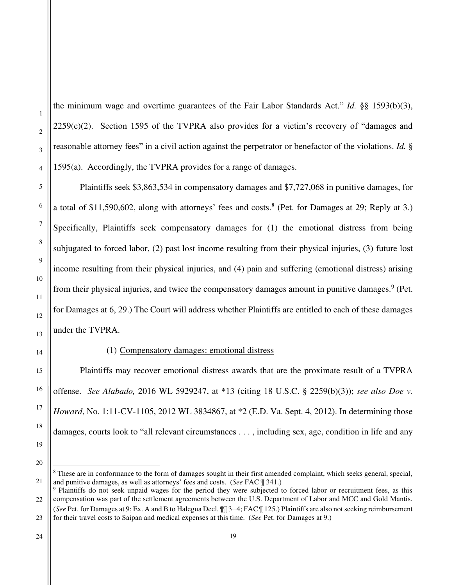the minimum wage and overtime guarantees of the Fair Labor Standards Act." *Id.* §§ 1593(b)(3),  $2259(c)(2)$ . Section 1595 of the TVPRA also provides for a victim's recovery of "damages and reasonable attorney fees" in a civil action against the perpetrator or benefactor of the violations. *Id.* § 1595(a). Accordingly, the TVPRA provides for a range of damages.

Plaintiffs seek \$3,863,534 in compensatory damages and \$7,727,068 in punitive damages, for a total of \$11,590,602, along with attorneys' fees and costs.<sup>8</sup> (Pet. for Damages at 29; Reply at 3.) Specifically, Plaintiffs seek compensatory damages for (1) the emotional distress from being subjugated to forced labor, (2) past lost income resulting from their physical injuries, (3) future lost income resulting from their physical injuries, and (4) pain and suffering (emotional distress) arising from their physical injuries, and twice the compensatory damages amount in punitive damages.<sup>9</sup> (Pet. for Damages at 6, 29.) The Court will address whether Plaintiffs are entitled to each of these damages under the TVPRA.

1

2

3

4

5

6

7

8

9

10

11

12

13

14

15

16

17

18

19

20

# (1) Compensatory damages: emotional distress

Plaintiffs may recover emotional distress awards that are the proximate result of a TVPRA offense. *See Alabado,* 2016 WL 5929247, at \*13 (citing 18 U.S.C. § 2259(b)(3)); *see also Doe v. Howard*, No. 1:11-CV-1105, 2012 WL 3834867, at \*2 (E.D. Va. Sept. 4, 2012). In determining those damages, courts look to "all relevant circumstances . . . , including sex, age, condition in life and any

<sup>21</sup> <sup>8</sup> These are in conformance to the form of damages sought in their first amended complaint, which seeks general, special, and punitive damages, as well as attorneys' fees and costs. (*See* FAC ¶ 341.)

<sup>22</sup> 23 <sup>9</sup> Plaintiffs do not seek unpaid wages for the period they were subjected to forced labor or recruitment fees, as this compensation was part of the settlement agreements between the U.S. Department of Labor and MCC and Gold Mantis. (*See* Pet. for Damages at 9; Ex. A and B to Halegua Decl. ¶¶ 3–4; FAC ¶ 125.) Plaintiffs are also not seeking reimbursement for their travel costs to Saipan and medical expenses at this time. (*See* Pet. for Damages at 9.)

<sup>24</sup>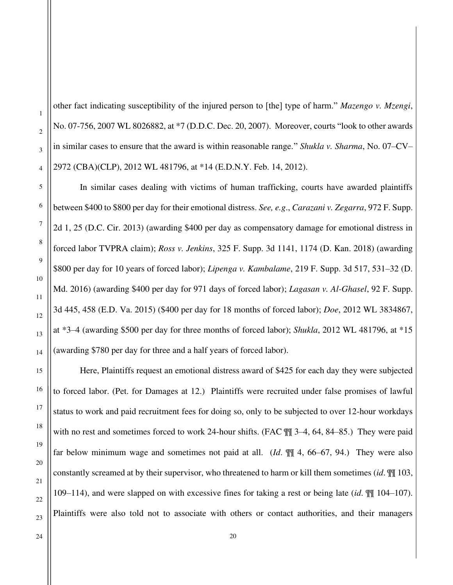other fact indicating susceptibility of the injured person to [the] type of harm." *Mazengo v. Mzengi*, No. 07-756, 2007 WL 8026882, at \*7 (D.D.C. Dec. 20, 2007). Moreover, courts "look to other awards in similar cases to ensure that the award is within reasonable range." *Shukla v. Sharma*, No. 07–CV– 2972 (CBA)(CLP), 2012 WL 481796, at \*14 (E.D.N.Y. Feb. 14, 2012).

In similar cases dealing with victims of human trafficking, courts have awarded plaintiffs between \$400 to \$800 per day for their emotional distress. *See, e.g*., *Carazani v. Zegarra*, 972 F. Supp. 2d 1, 25 (D.C. Cir. 2013) (awarding \$400 per day as compensatory damage for emotional distress in forced labor TVPRA claim); *Ross v. Jenkins*, 325 F. Supp. 3d 1141, 1174 (D. Kan. 2018) (awarding \$800 per day for 10 years of forced labor); *Lipenga v. Kambalame*, 219 F. Supp. 3d 517, 531–32 (D. Md. 2016) (awarding \$400 per day for 971 days of forced labor); *Lagasan v. Al-Ghasel*, 92 F. Supp. 3d 445, 458 (E.D. Va. 2015) (\$400 per day for 18 months of forced labor); *Doe*, 2012 WL 3834867, at \*3–4 (awarding \$500 per day for three months of forced labor); *Shukla*, 2012 WL 481796, at \*15 (awarding \$780 per day for three and a half years of forced labor).

Here, Plaintiffs request an emotional distress award of \$425 for each day they were subjected to forced labor. (Pet. for Damages at 12.) Plaintiffs were recruited under false promises of lawful status to work and paid recruitment fees for doing so, only to be subjected to over 12-hour workdays with no rest and sometimes forced to work 24-hour shifts. (FAC  $\mathbb{I}$  3–4, 64, 84–85.) They were paid far below minimum wage and sometimes not paid at all. (*Id*. ¶¶ 4, 66–67, 94.) They were also constantly screamed at by their supervisor, who threatened to harm or kill them sometimes (*id*. ¶¶ 103, 109–114), and were slapped on with excessive fines for taking a rest or being late (*id*. ¶¶ 104–107). Plaintiffs were also told not to associate with others or contact authorities, and their managers

1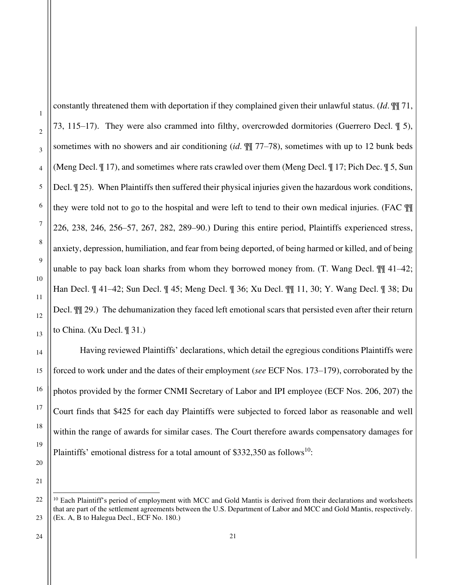1

2

constantly threatened them with deportation if they complained given their unlawful status. (*Id*. ¶¶ 71, 73, 115–17). They were also crammed into filthy, overcrowded dormitories (Guerrero Decl. ¶ 5), sometimes with no showers and air conditioning (*id*. ¶¶ 77–78), sometimes with up to 12 bunk beds (Meng Decl. ¶ 17), and sometimes where rats crawled over them (Meng Decl. ¶ 17; Pich Dec. ¶ 5, Sun Decl. ¶ 25). When Plaintiffs then suffered their physical injuries given the hazardous work conditions, they were told not to go to the hospital and were left to tend to their own medical injuries. (FAC ¶¶ 226, 238, 246, 256–57, 267, 282, 289–90.) During this entire period, Plaintiffs experienced stress, anxiety, depression, humiliation, and fear from being deported, of being harmed or killed, and of being unable to pay back loan sharks from whom they borrowed money from. (T. Wang Decl. ¶¶ 41–42; Han Decl. ¶ 41–42; Sun Decl. ¶ 45; Meng Decl. ¶ 36; Xu Decl. ¶¶ 11, 30; Y. Wang Decl. ¶ 38; Du Decl. ¶¶ 29.) The dehumanization they faced left emotional scars that persisted even after their return to China. (Xu Decl. ¶ 31.)

Having reviewed Plaintiffs' declarations, which detail the egregious conditions Plaintiffs were forced to work under and the dates of their employment (*see* ECF Nos. 173–179), corroborated by the photos provided by the former CNMI Secretary of Labor and IPI employee (ECF Nos. 206, 207) the Court finds that \$425 for each day Plaintiffs were subjected to forced labor as reasonable and well within the range of awards for similar cases. The Court therefore awards compensatory damages for Plaintiffs' emotional distress for a total amount of  $$332,350$  as follows<sup>10</sup>:

 $10$  Each Plaintiff's period of employment with MCC and Gold Mantis is derived from their declarations and worksheets that are part of the settlement agreements between the U.S. Department of Labor and MCC and Gold Mantis, respectively. (Ex. A, B to Halegua Decl., ECF No. 180.)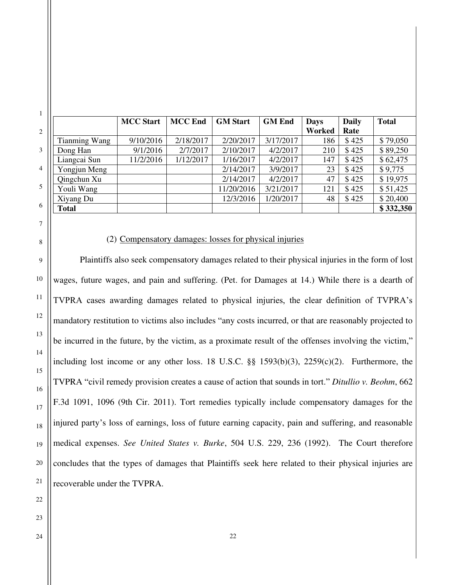|                      | <b>MCC Start</b> | <b>MCC</b> End | <b>GM</b> Start | <b>GM</b> End | <b>Days</b> | <b>Daily</b> | <b>Total</b> |
|----------------------|------------------|----------------|-----------------|---------------|-------------|--------------|--------------|
|                      |                  |                |                 |               | Worked      | Rate         |              |
| <b>Tianming Wang</b> | 9/10/2016        | 2/18/2017      | 2/20/2017       | 3/17/2017     | 186         | \$425        | \$79,050     |
| Dong Han             | 9/1/2016         | 2/7/2017       | 2/10/2017       | 4/2/2017      | 210         | \$425        | \$89,250     |
| Liangcai Sun         | 11/2/2016        | 1/12/2017      | 1/16/2017       | 4/2/2017      | 147         | \$425        | \$62,475     |
| Yongjun Meng         |                  |                | 2/14/2017       | 3/9/2017      | 23          | \$425        | \$9,775      |
| Qingchun Xu          |                  |                | 2/14/2017       | 4/2/2017      | 47          | \$425        | \$19,975     |
| Youli Wang           |                  |                | 11/20/2016      | 3/21/2017     | 121         | \$425        | \$51,425     |
| Xiyang Du            |                  |                | 12/3/2016       | 1/20/2017     | 48          | \$425        | \$20,400     |
| <b>Total</b>         |                  |                |                 |               |             |              | \$332,350    |

#### (2) Compensatory damages: losses for physical injuries

Plaintiffs also seek compensatory damages related to their physical injuries in the form of lost wages, future wages, and pain and suffering. (Pet. for Damages at 14.) While there is a dearth of TVPRA cases awarding damages related to physical injuries, the clear definition of TVPRA's mandatory restitution to victims also includes "any costs incurred, or that are reasonably projected to be incurred in the future, by the victim, as a proximate result of the offenses involving the victim," including lost income or any other loss. 18 U.S.C. §§ 1593(b)(3), 2259(c)(2). Furthermore, the TVPRA "civil remedy provision creates a cause of action that sounds in tort." *Ditullio v. Beohm*, 662 F.3d 1091, 1096 (9th Cir. 2011). Tort remedies typically include compensatory damages for the injured party's loss of earnings, loss of future earning capacity, pain and suffering, and reasonable medical expenses. *See United States v. Burke*, 504 U.S. 229, 236 (1992). The Court therefore concludes that the types of damages that Plaintiffs seek here related to their physical injuries are recoverable under the TVPRA.

7

8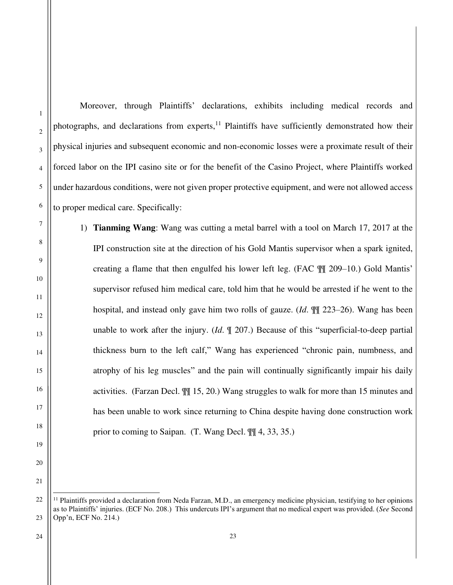1 2 3 4 5 6 7 8 9 10 11 12 photographs, and declarations from experts,<sup>11</sup> Plaintiffs have sufficiently demonstrated how their physical injuries and subsequent economic and non-economic losses were a proximate result of their forced labor on the IPI casino site or for the benefit of the Casino Project, where Plaintiffs worked under hazardous conditions, were not given proper protective equipment, and were not allowed access to proper medical care. Specifically: 1) **Tianming Wang**: Wang was cutting a metal barrel with a tool on March 17, 2017 at the IPI construction site at the direction of his Gold Mantis supervisor when a spark ignited, creating a flame that then engulfed his lower left leg. (FAC ¶¶ 209–10.) Gold Mantis' supervisor refused him medical care, told him that he would be arrested if he went to the

hospital, and instead only gave him two rolls of gauze. (*Id*. ¶¶ 223–26). Wang has been unable to work after the injury. (*Id*. ¶ 207.) Because of this "superficial-to-deep partial thickness burn to the left calf," Wang has experienced "chronic pain, numbness, and atrophy of his leg muscles" and the pain will continually significantly impair his daily activities. (Farzan Decl. ¶¶ 15, 20.) Wang struggles to walk for more than 15 minutes and has been unable to work since returning to China despite having done construction work prior to coming to Saipan. (T. Wang Decl. ¶¶ 4, 33, 35.)

Moreover, through Plaintiffs' declarations, exhibits including medical records and

13

14

15

16

17

18

19

20

<sup>22</sup> 23  $<sup>11</sup>$  Plaintiffs provided a declaration from Neda Farzan, M.D., an emergency medicine physician, testifying to her opinions</sup> as to Plaintiffs' injuries. (ECF No. 208.) This undercuts IPI's argument that no medical expert was provided. (*See* Second Opp'n, ECF No. 214.)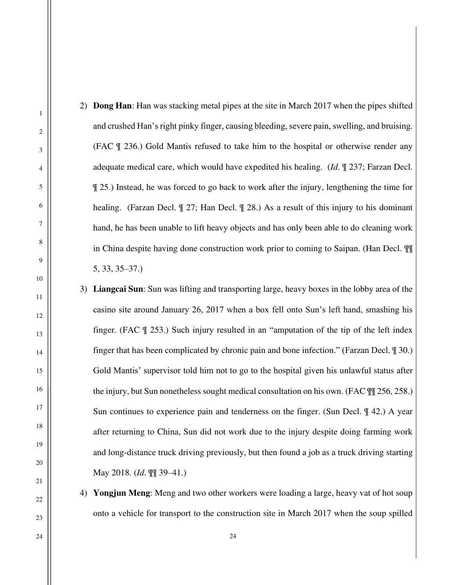2) **Dong Han**: Han was stacking metal pipes at the site in March 2017 when the pipes shifted and crushed Han's right pinky finger, causing bleeding, severe pain, swelling, and bruising. (FAC ¶ 236.) Gold Mantis refused to take him to the hospital or otherwise render any adequate medical care, which would have expedited his healing. (*Id*. ¶ 237; Farzan Decl. ¶ 25.) Instead, he was forced to go back to work after the injury, lengthening the time for healing. (Farzan Decl. ¶ 27; Han Decl. ¶ 28.) As a result of this injury to his dominant hand, he has been unable to lift heavy objects and has only been able to do cleaning work in China despite having done construction work prior to coming to Saipan. (Han Decl. ¶¶ 5, 33, 35–37.)

3) **Liangcai Sun**: Sun was lifting and transporting large, heavy boxes in the lobby area of the casino site around January 26, 2017 when a box fell onto Sun's left hand, smashing his finger. (FAC ¶ 253.) Such injury resulted in an "amputation of the tip of the left index finger that has been complicated by chronic pain and bone infection." (Farzan Decl. ¶ 30.) Gold Mantis' supervisor told him not to go to the hospital given his unlawful status after the injury, but Sun nonetheless sought medical consultation on his own. (FAC ¶¶ 256, 258.) Sun continues to experience pain and tenderness on the finger. (Sun Decl. ¶ 42.) A year after returning to China, Sun did not work due to the injury despite doing farming work and long-distance truck driving previously, but then found a job as a truck driving starting May 2018. (*Id*. ¶¶ 39–41.)

4) **Yongjun Meng**: Meng and two other workers were loading a large, heavy vat of hot soup onto a vehicle for transport to the construction site in March 2017 when the soup spilled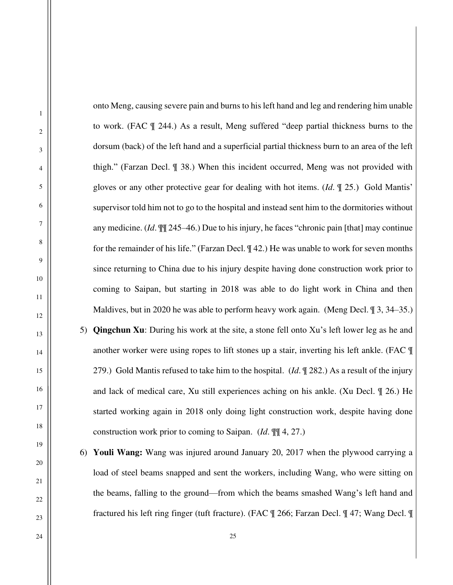onto Meng, causing severe pain and burns to his left hand and leg and rendering him unable to work. (FAC ¶ 244.) As a result, Meng suffered "deep partial thickness burns to the dorsum (back) of the left hand and a superficial partial thickness burn to an area of the left thigh." (Farzan Decl. ¶ 38.) When this incident occurred, Meng was not provided with gloves or any other protective gear for dealing with hot items. (*Id*. ¶ 25.) Gold Mantis' supervisor told him not to go to the hospital and instead sent him to the dormitories without any medicine. (*Id*. ¶¶ 245–46.) Due to his injury, he faces "chronic pain [that] may continue for the remainder of his life." (Farzan Decl. ¶ 42.) He was unable to work for seven months since returning to China due to his injury despite having done construction work prior to coming to Saipan, but starting in 2018 was able to do light work in China and then Maldives, but in 2020 he was able to perform heavy work again. (Meng Decl. ¶ 3, 34–35.) 5) **Qingchun Xu**: During his work at the site, a stone fell onto Xu's left lower leg as he and another worker were using ropes to lift stones up a stair, inverting his left ankle. (FAC ¶ 279.) Gold Mantis refused to take him to the hospital. (*Id*. ¶ 282.) As a result of the injury and lack of medical care, Xu still experiences aching on his ankle. (Xu Decl. ¶ 26.) He started working again in 2018 only doing light construction work, despite having done construction work prior to coming to Saipan. (*Id*. ¶¶ 4, 27.)

- 6) **Youli Wang:** Wang was injured around January 20, 2017 when the plywood carrying a load of steel beams snapped and sent the workers, including Wang, who were sitting on the beams, falling to the ground—from which the beams smashed Wang's left hand and fractured his left ring finger (tuft fracture). (FAC ¶ 266; Farzan Decl. ¶ 47; Wang Decl. ¶
- 1 2 3 4 5 6 7 8 9 10 11 12 13 14 15 16 17 18 19 20 21 22 23 24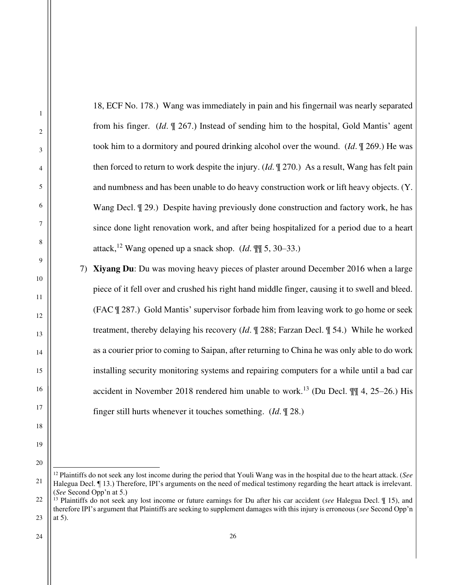18, ECF No. 178.) Wang was immediately in pain and his fingernail was nearly separated from his finger. (*Id*. ¶ 267.) Instead of sending him to the hospital, Gold Mantis' agent took him to a dormitory and poured drinking alcohol over the wound. (*Id*. ¶ 269.) He was then forced to return to work despite the injury. (*Id*. ¶ 270.) As a result, Wang has felt pain and numbness and has been unable to do heavy construction work or lift heavy objects. (Y. Wang Decl. ¶ 29.) Despite having previously done construction and factory work, he has since done light renovation work, and after being hospitalized for a period due to a heart attack,<sup>12</sup> Wang opened up a snack shop. (*Id.*  $\P$ [ 5, 30–33.) 7) **Xiyang Du**: Du was moving heavy pieces of plaster around December 2016 when a large

piece of it fell over and crushed his right hand middle finger, causing it to swell and bleed. (FAC ¶ 287.) Gold Mantis' supervisor forbade him from leaving work to go home or seek treatment, thereby delaying his recovery (*Id*. ¶ 288; Farzan Decl. ¶ 54.) While he worked as a courier prior to coming to Saipan, after returning to China he was only able to do work installing security monitoring systems and repairing computers for a while until a bad car accident in November 2018 rendered him unable to work.<sup>13</sup> (Du Decl.  $\P\P$  4, 25–26.) His finger still hurts whenever it touches something. (*Id*. ¶ 28.)

1

2

3

4

5

6

7

8

9

10

11

12

13

14

15

16

17

18

19

<sup>21</sup> <sup>12</sup> Plaintiffs do not seek any lost income during the period that Youli Wang was in the hospital due to the heart attack. (*See* Halegua Decl. ¶ 13.) Therefore, IPI's arguments on the need of medical testimony regarding the heart attack is irrelevant. (*See* Second Opp'n at 5.)

<sup>22</sup> 23 <sup>13</sup> Plaintiffs do not seek any lost income or future earnings for Du after his car accident (*see* Halegua Decl. ¶ 15), and therefore IPI's argument that Plaintiffs are seeking to supplement damages with this injury is erroneous (*see* Second Opp'n at 5).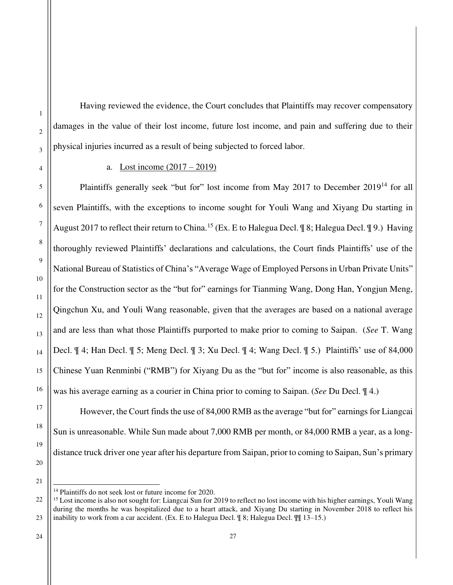Having reviewed the evidence, the Court concludes that Plaintiffs may recover compensatory damages in the value of their lost income, future lost income, and pain and suffering due to their physical injuries incurred as a result of being subjected to forced labor.

### a. Lost income (2017 – 2019)

Plaintiffs generally seek "but for" lost income from May 2017 to December 2019<sup>14</sup> for all seven Plaintiffs, with the exceptions to income sought for Youli Wang and Xiyang Du starting in August 2017 to reflect their return to China.<sup>15</sup> (Ex. E to Halegua Decl. ¶ 8; Halegua Decl. ¶ 9.) Having thoroughly reviewed Plaintiffs' declarations and calculations, the Court finds Plaintiffs' use of the National Bureau of Statistics of China's "Average Wage of Employed Persons in Urban Private Units" for the Construction sector as the "but for" earnings for Tianming Wang, Dong Han, Yongjun Meng, Qingchun Xu, and Youli Wang reasonable, given that the averages are based on a national average and are less than what those Plaintiffs purported to make prior to coming to Saipan. (*See* T. Wang Decl. ¶ 4; Han Decl. ¶ 5; Meng Decl. ¶ 3; Xu Decl. ¶ 4; Wang Decl. ¶ 5.) Plaintiffs' use of 84,000 Chinese Yuan Renminbi ("RMB") for Xiyang Du as the "but for" income is also reasonable, as this was his average earning as a courier in China prior to coming to Saipan. (*See* Du Decl. ¶ 4.)

1

2

However, the Court finds the use of 84,000 RMB as the average "but for" earnings for Liangcai Sun is unreasonable. While Sun made about 7,000 RMB per month, or 84,000 RMB a year, as a longdistance truck driver one year after his departure from Saipan, prior to coming to Saipan, Sun's primary

<sup>14</sup> Plaintiffs do not seek lost or future income for 2020.

<sup>23</sup> <sup>15</sup> Lost income is also not sought for: Liangcai Sun for 2019 to reflect no lost income with his higher earnings, Youli Wang during the months he was hospitalized due to a heart attack, and Xiyang Du starting in November 2018 to reflect his inability to work from a car accident. (Ex. E to Halegua Decl. ¶ 8; Halegua Decl. ¶¶ 13–15.)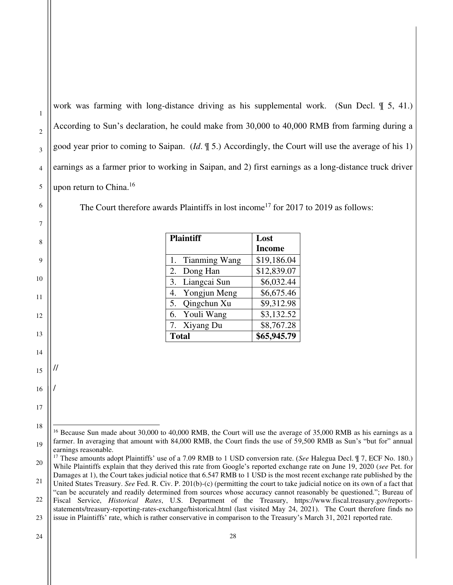work was farming with long-distance driving as his supplemental work. (Sun Decl. ¶ 5, 41.) According to Sun's declaration, he could make from 30,000 to 40,000 RMB from farming during a good year prior to coming to Saipan. (*Id*. ¶ 5.) Accordingly, the Court will use the average of his 1) earnings as a farmer prior to working in Saipan, and 2) first earnings as a long-distance truck driver upon return to China.<sup>16</sup>

The Court therefore awards Plaintiffs in lost income<sup>17</sup> for 2017 to 2019 as follows:

| <b>Plaintiff</b> | Lost          |  |  |
|------------------|---------------|--|--|
|                  | <b>Income</b> |  |  |
| 1. Tianming Wang | \$19,186.04   |  |  |
| Dong Han<br>2.   | \$12,839.07   |  |  |
| 3. Liangcai Sun  | \$6,032.44    |  |  |
| 4. Yongjun Meng  | \$6,675.46    |  |  |
| 5. Qingchun Xu   | \$9,312.98    |  |  |
| 6. Youli Wang    | \$3,132.52    |  |  |
| 7. Xiyang Du     | \$8,767.28    |  |  |
| <b>Total</b>     | \$65,945.79   |  |  |

1

2

3

4

5

6

7

8

9

10

11

12

13

14

15

//

/

16

17

<sup>19</sup> <sup>16</sup> Because Sun made about 30,000 to 40,000 RMB, the Court will use the average of 35,000 RMB as his earnings as a farmer. In averaging that amount with 84,000 RMB, the Court finds the use of 59,500 RMB as Sun's "but for" annual earnings reasonable.

<sup>20</sup> <sup>17</sup> These amounts adopt Plaintiffs' use of a 7.09 RMB to 1 USD conversion rate. (*See* Halegua Decl. ¶ 7, ECF No. 180.) While Plaintiffs explain that they derived this rate from Google's reported exchange rate on June 19, 2020 (*see* Pet. for Damages at 1), the Court takes judicial notice that 6.547 RMB to 1 USD is the most recent exchange rate published by the

<sup>21</sup> 22 United States Treasury. *See* Fed. R. Civ. P. 201(b)-(c) (permitting the court to take judicial notice on its own of a fact that "can be accurately and readily determined from sources whose accuracy cannot reasonably be questioned."; Bureau of

<sup>23</sup> Fiscal Service, *Historical Rates*, U.S. Department of the Treasury, https://www.fiscal.treasury.gov/reportsstatements/treasury-reporting-rates-exchange/historical.html (last visited May 24, 2021). The Court therefore finds no issue in Plaintiffs' rate, which is rather conservative in comparison to the Treasury's March 31, 2021 reported rate.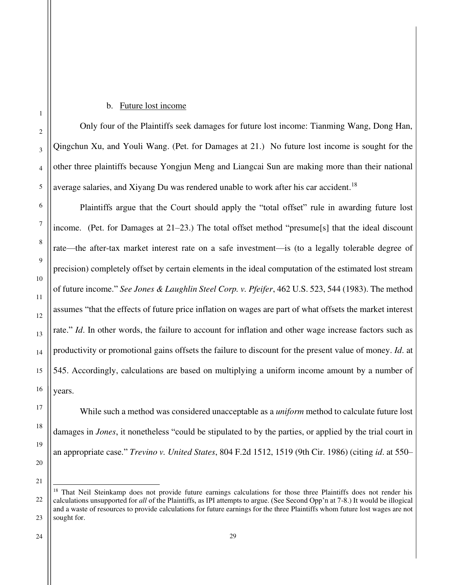### b. Future lost income

Only four of the Plaintiffs seek damages for future lost income: Tianming Wang, Dong Han, Qingchun Xu, and Youli Wang. (Pet. for Damages at 21.) No future lost income is sought for the other three plaintiffs because Yongjun Meng and Liangcai Sun are making more than their national average salaries, and Xiyang Du was rendered unable to work after his car accident.<sup>18</sup>

Plaintiffs argue that the Court should apply the "total offset" rule in awarding future lost income. (Pet. for Damages at 21–23.) The total offset method "presume[s] that the ideal discount rate—the after-tax market interest rate on a safe investment—is (to a legally tolerable degree of precision) completely offset by certain elements in the ideal computation of the estimated lost stream of future income." *See Jones & Laughlin Steel Corp. v. Pfeifer*, 462 U.S. 523, 544 (1983). The method assumes "that the effects of future price inflation on wages are part of what offsets the market interest rate." *Id*. In other words, the failure to account for inflation and other wage increase factors such as productivity or promotional gains offsets the failure to discount for the present value of money. *Id*. at 545. Accordingly, calculations are based on multiplying a uniform income amount by a number of years.

While such a method was considered unacceptable as a *uniform* method to calculate future lost damages in *Jones*, it nonetheless "could be stipulated to by the parties, or applied by the trial court in an appropriate case." *Trevino v. United States*, 804 F.2d 1512, 1519 (9th Cir. 1986) (citing *id*. at 550–

<sup>&</sup>lt;sup>18</sup> That Neil Steinkamp does not provide future earnings calculations for those three Plaintiffs does not render his calculations unsupported for *all* of the Plaintiffs, as IPI attempts to argue. (See Second Opp'n at 7-8.) It would be illogical and a waste of resources to provide calculations for future earnings for the three Plaintiffs whom future lost wages are not sought for.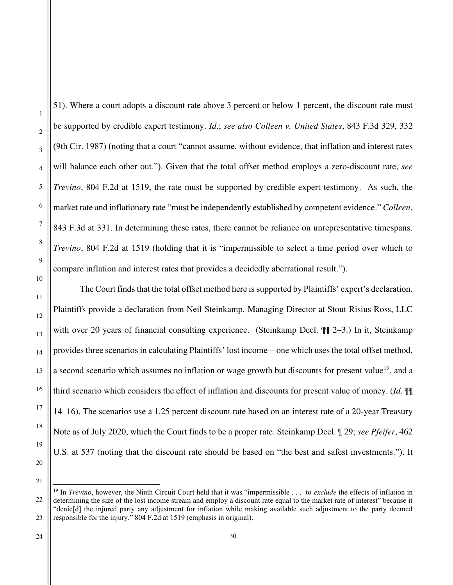51). Where a court adopts a discount rate above 3 percent or below 1 percent, the discount rate must be supported by credible expert testimony. *Id*.; *see also Colleen v. United States*, 843 F.3d 329, 332 (9th Cir. 1987) (noting that a court "cannot assume, without evidence, that inflation and interest rates will balance each other out."). Given that the total offset method employs a zero-discount rate, *see Trevino*, 804 F.2d at 1519, the rate must be supported by credible expert testimony. As such, the market rate and inflationary rate "must be independently established by competent evidence." *Colleen*, 843 F.3d at 331. In determining these rates, there cannot be reliance on unrepresentative timespans. *Trevino*, 804 F.2d at 1519 (holding that it is "impermissible to select a time period over which to compare inflation and interest rates that provides a decidedly aberrational result."). The Court finds that the total offset method here is supported by Plaintiffs' expert's declaration.

Plaintiffs provide a declaration from Neil Steinkamp, Managing Director at Stout Risius Ross, LLC with over 20 years of financial consulting experience. (Steinkamp Decl.  $\mathbb{I}$  2–3.) In it, Steinkamp provides three scenarios in calculating Plaintiffs' lost income—one which uses the total offset method, a second scenario which assumes no inflation or wage growth but discounts for present value<sup>19</sup>, and a third scenario which considers the effect of inflation and discounts for present value of money. (*Id*. ¶¶ 14–16). The scenarios use a 1.25 percent discount rate based on an interest rate of a 20-year Treasury Note as of July 2020, which the Court finds to be a proper rate. Steinkamp Decl. ¶ 29; *see Pfeifer*, 462 U.S. at 537 (noting that the discount rate should be based on "the best and safest investments."). It

1

2

3

4

5

6

7

8

9

10

11

12

13

14

15

16

17

18

19

20

<sup>22</sup> 23 <sup>19</sup> In *Trevino*, however, the Ninth Circuit Court held that it was "impermissible . . . to *exclude* the effects of inflation in determining the size of the lost income stream and employ a discount rate equal to the market rate of interest" because it "denie[d] the injured party any adjustment for inflation while making available such adjustment to the party deemed responsible for the injury." 804 F.2d at 1519 (emphasis in original).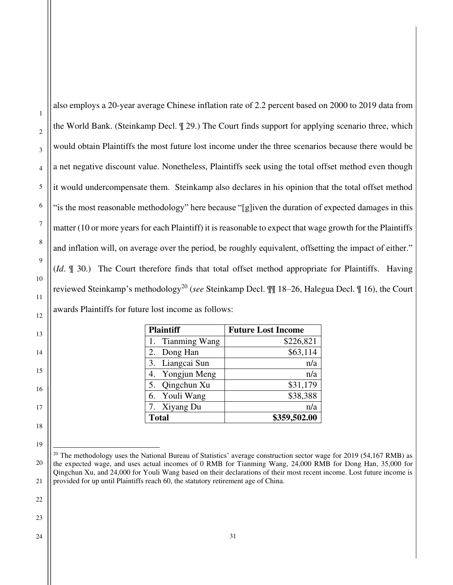also employs a 20-year average Chinese inflation rate of 2.2 percent based on 2000 to 2019 data from the World Bank. (Steinkamp Decl. ¶ 29.) The Court finds support for applying scenario three, which would obtain Plaintiffs the most future lost income under the three scenarios because there would be a net negative discount value. Nonetheless, Plaintiffs seek using the total offset method even though it would undercompensate them. Steinkamp also declares in his opinion that the total offset method "is the most reasonable methodology" here because "[g]iven the duration of expected damages in this matter (10 or more years for each Plaintiff) it is reasonable to expect that wage growth for the Plaintiffs and inflation will, on average over the period, be roughly equivalent, offsetting the impact of either." (*Id*. ¶ 30.) The Court therefore finds that total offset method appropriate for Plaintiffs. Having reviewed Steinkamp's methodology<sup>20</sup> (*see* Steinkamp Decl. ¶¶ 18–26, Halegua Decl. ¶ 16), the Court awards Plaintiffs for future lost income as follows:

| <b>Plaintiff</b> | <b>Future Lost Income</b> |  |  |  |
|------------------|---------------------------|--|--|--|
| 1. Tianming Wang | \$226,821                 |  |  |  |
| 2. Dong Han      | \$63,114                  |  |  |  |
| 3. Liangcai Sun  | n/a                       |  |  |  |
| 4. Yongjun Meng  | n/a                       |  |  |  |
| 5. Qingchun Xu   | \$31,179                  |  |  |  |
| 6. Youli Wang    | \$38,388                  |  |  |  |
| 7. Xiyang Du     | n/a                       |  |  |  |
| <b>Total</b>     | \$359,502.00              |  |  |  |

 $^{20}$  The methodology uses the National Bureau of Statistics' average construction sector wage for 2019 (54,167 RMB) as the expected wage, and uses actual incomes of 0 RMB for Tianming Wang, 24,000 RMB for Dong Han, 35,000 for Qingchun Xu, and 24,000 for Youli Wang based on their declarations of their most recent income. Lost future income is provided for up until Plaintiffs reach 60, the statutory retirement age of China.

1

2

3

4

5

6

7

8

9

10

11

12

13

14

15

16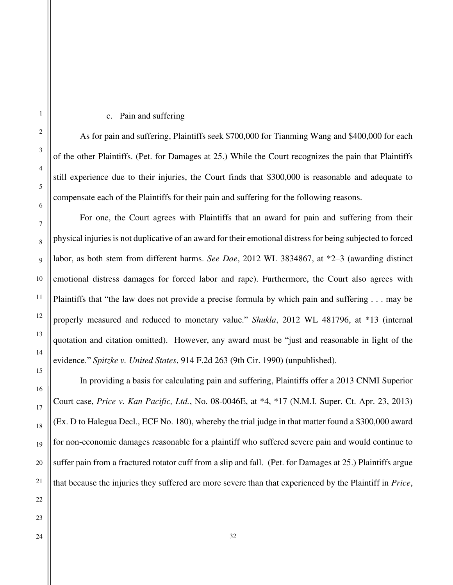### c. Pain and suffering

As for pain and suffering, Plaintiffs seek \$700,000 for Tianming Wang and \$400,000 for each of the other Plaintiffs. (Pet. for Damages at 25.) While the Court recognizes the pain that Plaintiffs still experience due to their injuries, the Court finds that \$300,000 is reasonable and adequate to compensate each of the Plaintiffs for their pain and suffering for the following reasons.

For one, the Court agrees with Plaintiffs that an award for pain and suffering from their physical injuries is not duplicative of an award for their emotional distress for being subjected to forced labor, as both stem from different harms. *See Doe*, 2012 WL 3834867, at \*2–3 (awarding distinct emotional distress damages for forced labor and rape). Furthermore, the Court also agrees with Plaintiffs that "the law does not provide a precise formula by which pain and suffering . . . may be properly measured and reduced to monetary value." *Shukla*, 2012 WL 481796, at \*13 (internal quotation and citation omitted). However, any award must be "just and reasonable in light of the evidence." *Spitzke v. United States*, 914 F.2d 263 (9th Cir. 1990) (unpublished).

In providing a basis for calculating pain and suffering, Plaintiffs offer a 2013 CNMI Superior Court case, *Price v. Kan Pacific, Ltd.*, No. 08-0046E, at \*4, \*17 (N.M.I. Super. Ct. Apr. 23, 2013) (Ex. D to Halegua Decl., ECF No. 180), whereby the trial judge in that matter found a \$300,000 award for non-economic damages reasonable for a plaintiff who suffered severe pain and would continue to suffer pain from a fractured rotator cuff from a slip and fall. (Pet. for Damages at 25.) Plaintiffs argue that because the injuries they suffered are more severe than that experienced by the Plaintiff in *Price*,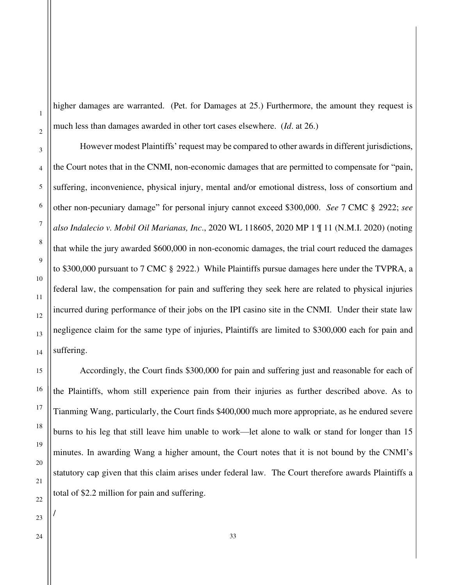higher damages are warranted. (Pet. for Damages at 25.) Furthermore, the amount they request is much less than damages awarded in other tort cases elsewhere. (*Id*. at 26.)

However modest Plaintiffs' request may be compared to other awards in different jurisdictions, the Court notes that in the CNMI, non-economic damages that are permitted to compensate for "pain, suffering, inconvenience, physical injury, mental and/or emotional distress, loss of consortium and other non-pecuniary damage" for personal injury cannot exceed \$300,000. *See* 7 CMC § 2922; *see also Indalecio v. Mobil Oil Marianas, Inc*., 2020 WL 118605, 2020 MP 1 ¶ 11 (N.M.I. 2020) (noting that while the jury awarded \$600,000 in non-economic damages, the trial court reduced the damages to \$300,000 pursuant to 7 CMC § 2922.) While Plaintiffs pursue damages here under the TVPRA, a federal law, the compensation for pain and suffering they seek here are related to physical injuries incurred during performance of their jobs on the IPI casino site in the CNMI. Under their state law negligence claim for the same type of injuries, Plaintiffs are limited to \$300,000 each for pain and suffering.

Accordingly, the Court finds \$300,000 for pain and suffering just and reasonable for each of the Plaintiffs, whom still experience pain from their injuries as further described above. As to Tianming Wang, particularly, the Court finds \$400,000 much more appropriate, as he endured severe burns to his leg that still leave him unable to work—let alone to walk or stand for longer than 15 minutes. In awarding Wang a higher amount, the Court notes that it is not bound by the CNMI's statutory cap given that this claim arises under federal law. The Court therefore awards Plaintiffs a total of \$2.2 million for pain and suffering.

/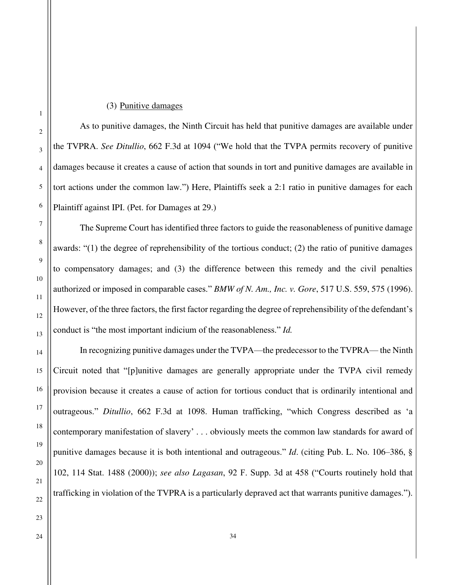### (3) Punitive damages

As to punitive damages, the Ninth Circuit has held that punitive damages are available under the TVPRA. *See Ditullio*, 662 F.3d at 1094 ("We hold that the TVPA permits recovery of punitive damages because it creates a cause of action that sounds in tort and punitive damages are available in tort actions under the common law.") Here, Plaintiffs seek a 2:1 ratio in punitive damages for each Plaintiff against IPI. (Pet. for Damages at 29.)

The Supreme Court has identified three factors to guide the reasonableness of punitive damage awards: "(1) the degree of reprehensibility of the tortious conduct; (2) the ratio of punitive damages to compensatory damages; and (3) the difference between this remedy and the civil penalties authorized or imposed in comparable cases." *BMW of N. Am., Inc. v. Gore*, 517 U.S. 559, 575 (1996). However, of the three factors, the first factor regarding the degree of reprehensibility of the defendant's conduct is "the most important indicium of the reasonableness." *Id.*

In recognizing punitive damages under the TVPA—the predecessor to the TVPRA— the Ninth Circuit noted that "[p]unitive damages are generally appropriate under the TVPA civil remedy provision because it creates a cause of action for tortious conduct that is ordinarily intentional and outrageous." *Ditullio*, 662 F.3d at 1098. Human trafficking, "which Congress described as 'a contemporary manifestation of slavery' . . . obviously meets the common law standards for award of punitive damages because it is both intentional and outrageous." *Id*. (citing Pub. L. No. 106–386, § 102, 114 Stat. 1488 (2000)); *see also Lagasan*, 92 F. Supp. 3d at 458 ("Courts routinely hold that trafficking in violation of the TVPRA is a particularly depraved act that warrants punitive damages.").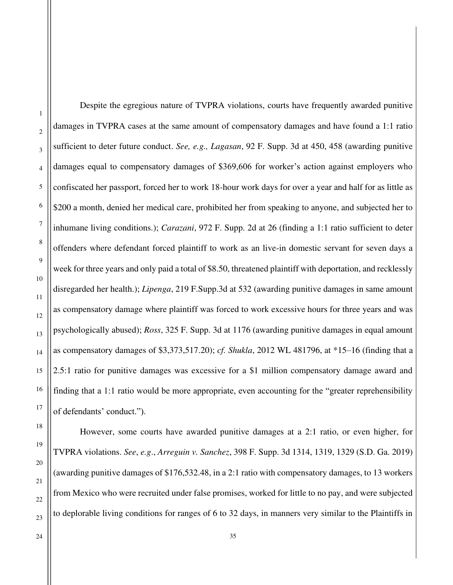1

Despite the egregious nature of TVPRA violations, courts have frequently awarded punitive damages in TVPRA cases at the same amount of compensatory damages and have found a 1:1 ratio sufficient to deter future conduct. *See, e.g., Lagasan*, 92 F. Supp. 3d at 450, 458 (awarding punitive damages equal to compensatory damages of \$369,606 for worker's action against employers who confiscated her passport, forced her to work 18-hour work days for over a year and half for as little as \$200 a month, denied her medical care, prohibited her from speaking to anyone, and subjected her to inhumane living conditions.); *Carazani*, 972 F. Supp. 2d at 26 (finding a 1:1 ratio sufficient to deter offenders where defendant forced plaintiff to work as an live-in domestic servant for seven days a week for three years and only paid a total of \$8.50, threatened plaintiff with deportation, and recklessly disregarded her health.); *Lipenga*, 219 F.Supp.3d at 532 (awarding punitive damages in same amount as compensatory damage where plaintiff was forced to work excessive hours for three years and was psychologically abused); *Ross*, 325 F. Supp. 3d at 1176 (awarding punitive damages in equal amount as compensatory damages of \$3,373,517.20); *cf. Shukla*, 2012 WL 481796, at \*15–16 (finding that a 2.5:1 ratio for punitive damages was excessive for a \$1 million compensatory damage award and finding that a 1:1 ratio would be more appropriate, even accounting for the "greater reprehensibility of defendants' conduct.").

However, some courts have awarded punitive damages at a 2:1 ratio, or even higher, for TVPRA violations. *See*, *e.g*., *Arreguin v. Sanchez*, 398 F. Supp. 3d 1314, 1319, 1329 (S.D. Ga. 2019) (awarding punitive damages of \$176,532.48, in a 2:1 ratio with compensatory damages, to 13 workers from Mexico who were recruited under false promises, worked for little to no pay, and were subjected to deplorable living conditions for ranges of 6 to 32 days, in manners very similar to the Plaintiffs in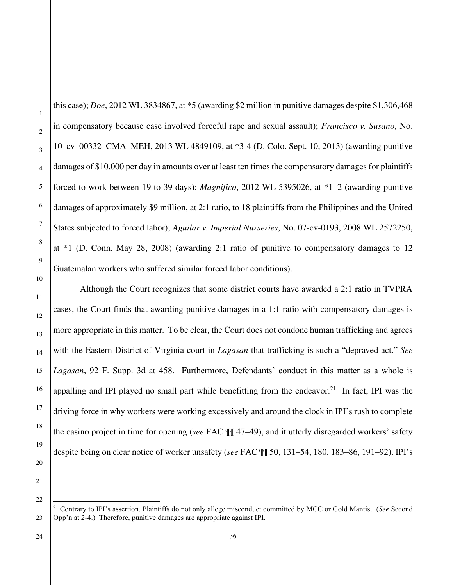this case); *Doe*, 2012 WL 3834867, at \*5 (awarding \$2 million in punitive damages despite \$1,306,468 in compensatory because case involved forceful rape and sexual assault); *Francisco v. Susano*, No. 10–cv–00332–CMA–MEH, 2013 WL 4849109, at \*3-4 (D. Colo. Sept. 10, 2013) (awarding punitive damages of \$10,000 per day in amounts over at least ten times the compensatory damages for plaintiffs forced to work between 19 to 39 days); *Magnifico*, 2012 WL 5395026, at \*1–2 (awarding punitive damages of approximately \$9 million, at 2:1 ratio, to 18 plaintiffs from the Philippines and the United States subjected to forced labor); *Aguilar v. Imperial Nurseries*, No. 07-cv-0193, 2008 WL 2572250, at \*1 (D. Conn. May 28, 2008) (awarding 2:1 ratio of punitive to compensatory damages to 12 Guatemalan workers who suffered similar forced labor conditions).

Although the Court recognizes that some district courts have awarded a 2:1 ratio in TVPRA cases, the Court finds that awarding punitive damages in a 1:1 ratio with compensatory damages is more appropriate in this matter. To be clear, the Court does not condone human trafficking and agrees with the Eastern District of Virginia court in *Lagasan* that trafficking is such a "depraved act." *See Lagasan*, 92 F. Supp. 3d at 458. Furthermore, Defendants' conduct in this matter as a whole is appalling and IPI played no small part while benefitting from the endeavor.<sup>21</sup> In fact, IPI was the driving force in why workers were working excessively and around the clock in IPI's rush to complete the casino project in time for opening (*see* FAC ¶¶ 47–49), and it utterly disregarded workers' safety despite being on clear notice of worker unsafety (*see* FAC ¶¶ 50, 131–54, 180, 183–86, 191–92). IPI's

21

22

23

1

2

3

4

5

6

7

8

9

10

11

12

13

14

15

16

17

18

19

<sup>21</sup> Contrary to IPI's assertion, Plaintiffs do not only allege misconduct committed by MCC or Gold Mantis. (*See* Second Opp'n at 2-4.) Therefore, punitive damages are appropriate against IPI.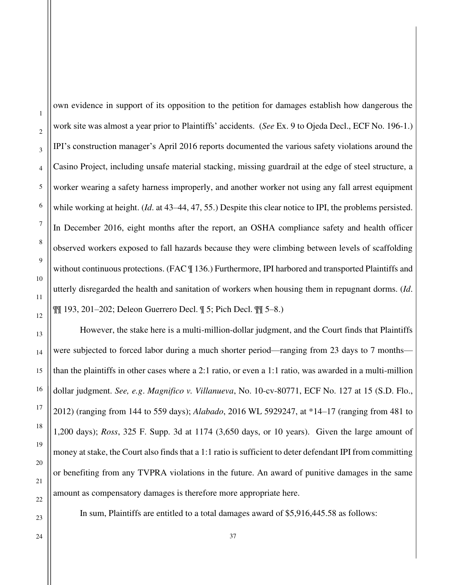own evidence in support of its opposition to the petition for damages establish how dangerous the work site was almost a year prior to Plaintiffs' accidents. (*See* Ex. 9 to Ojeda Decl., ECF No. 196-1.) IPI's construction manager's April 2016 reports documented the various safety violations around the Casino Project, including unsafe material stacking, missing guardrail at the edge of steel structure, a worker wearing a safety harness improperly, and another worker not using any fall arrest equipment while working at height. (*Id*. at 43–44, 47, 55.) Despite this clear notice to IPI, the problems persisted. In December 2016, eight months after the report, an OSHA compliance safety and health officer observed workers exposed to fall hazards because they were climbing between levels of scaffolding without continuous protections. (FAC  $\parallel$  136.) Furthermore, IPI harbored and transported Plaintiffs and utterly disregarded the health and sanitation of workers when housing them in repugnant dorms. (*Id*. ¶¶ 193, 201–202; Deleon Guerrero Decl. ¶ 5; Pich Decl. ¶¶ 5–8.)

However, the stake here is a multi-million-dollar judgment, and the Court finds that Plaintiffs were subjected to forced labor during a much shorter period—ranging from 23 days to 7 months than the plaintiffs in other cases where a 2:1 ratio, or even a 1:1 ratio, was awarded in a multi-million dollar judgment. *See, e.g*. *Magnifico v. Villanueva*, No. 10-cv-80771, ECF No. 127 at 15 (S.D. Flo., 2012) (ranging from 144 to 559 days); *Alabado*, 2016 WL 5929247, at \*14–17 (ranging from 481 to 1,200 days); *Ross*, 325 F. Supp. 3d at 1174 (3,650 days, or 10 years). Given the large amount of money at stake, the Court also finds that a 1:1 ratio is sufficient to deter defendant IPI from committing or benefiting from any TVPRA violations in the future. An award of punitive damages in the same amount as compensatory damages is therefore more appropriate here.

In sum, Plaintiffs are entitled to a total damages award of \$5,916,445.58 as follows:

22 23

1

2

3

4

5

6

7

8

9

10

11

12

13

14

15

16

17

18

19

20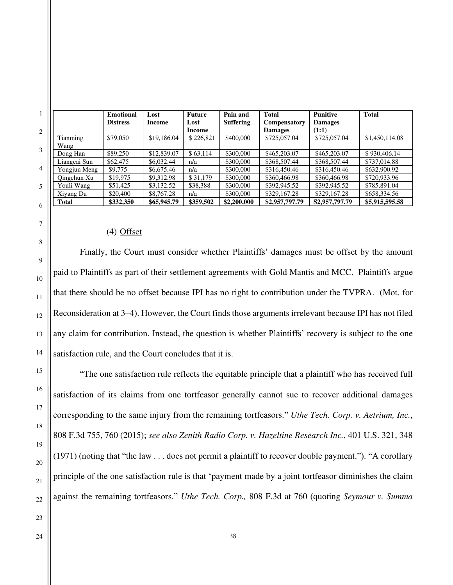|              | <b>Emotional</b> | Lost        | <b>Future</b> | Pain and         | <b>Total</b>   | <b>Punitive</b> | <b>Total</b>   |
|--------------|------------------|-------------|---------------|------------------|----------------|-----------------|----------------|
|              | <b>Distress</b>  | Income      | Lost          | <b>Suffering</b> | Compensatory   | <b>Damages</b>  |                |
|              |                  |             | Income        |                  | <b>Damages</b> | (1:1)           |                |
| Tianming     | \$79,050         | \$19,186.04 | \$226,821     | \$400,000        | \$725,057.04   | \$725,057.04    | \$1,450,114.08 |
| Wang         |                  |             |               |                  |                |                 |                |
| Dong Han     | \$89,250         | \$12,839.07 | \$63.114      | \$300,000        | \$465,203.07   | \$465,203.07    | \$930,406.14   |
| Liangcai Sun | \$62,475         | \$6,032.44  | n/a           | \$300,000        | \$368,507.44   | \$368,507.44    | \$737,014.88   |
| Yongjun Meng | \$9,775          | \$6,675.46  | n/a           | \$300,000        | \$316,450.46   | \$316,450.46    | \$632,900.92   |
| Oingchun Xu  | \$19,975         | \$9,312.98  | \$31,179      | \$300,000        | \$360,466.98   | \$360,466.98    | \$720,933.96   |
| Youli Wang   | \$51,425         | \$3,132.52  | \$38,388      | \$300,000        | \$392,945.52   | \$392,945.52    | \$785,891.04   |
| Xiyang Du    | \$20,400         | \$8,767.28  | n/a           | \$300,000        | \$329,167.28   | \$329,167.28    | \$658,334.56   |
| <b>Total</b> | \$332,350        | \$65,945.79 | \$359,502     | \$2,200,000      | \$2,957,797.79 | S2,957,797.79   | \$5,915,595.58 |

# (4) Offset

Finally, the Court must consider whether Plaintiffs' damages must be offset by the amount paid to Plaintiffs as part of their settlement agreements with Gold Mantis and MCC. Plaintiffs argue that there should be no offset because IPI has no right to contribution under the TVPRA. (Mot. for Reconsideration at 3–4). However, the Court finds those arguments irrelevant because IPI has not filed any claim for contribution. Instead, the question is whether Plaintiffs' recovery is subject to the one satisfaction rule, and the Court concludes that it is.

"The one satisfaction rule reflects the equitable principle that a plaintiff who has received full satisfaction of its claims from one tortfeasor generally cannot sue to recover additional damages corresponding to the same injury from the remaining tortfeasors." *Uthe Tech. Corp. v. Aetrium, Inc.*, 808 F.3d 755, 760 (2015); *see also Zenith Radio Corp. v. Hazeltine Research Inc.*, 401 U.S. 321, 348 (1971) (noting that "the law . . . does not permit a plaintiff to recover double payment."). "A corollary principle of the one satisfaction rule is that 'payment made by a joint tortfeasor diminishes the claim against the remaining tortfeasors." *Uthe Tech. Corp.,* 808 F.3d at 760 (quoting *Seymour v. Summa*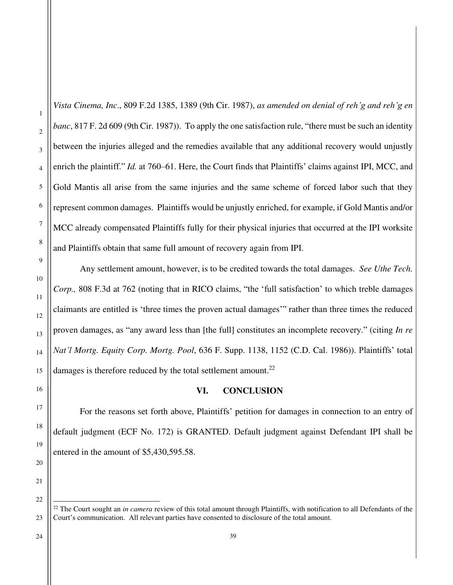*Vista Cinema, Inc*., 809 F.2d 1385, 1389 (9th Cir. 1987), *as amended on denial of reh'g and reh'g en banc*, 817 F. 2d 609 (9th Cir. 1987)). To apply the one satisfaction rule, "there must be such an identity between the injuries alleged and the remedies available that any additional recovery would unjustly enrich the plaintiff." *Id.* at 760–61. Here, the Court finds that Plaintiffs' claims against IPI, MCC, and Gold Mantis all arise from the same injuries and the same scheme of forced labor such that they represent common damages. Plaintiffs would be unjustly enriched, for example, if Gold Mantis and/or MCC already compensated Plaintiffs fully for their physical injuries that occurred at the IPI worksite and Plaintiffs obtain that same full amount of recovery again from IPI.

Any settlement amount, however, is to be credited towards the total damages. *See Uthe Tech. Corp.,* 808 F.3d at 762 (noting that in RICO claims, "the 'full satisfaction' to which treble damages claimants are entitled is 'three times the proven actual damages'" rather than three times the reduced proven damages, as "any award less than [the full] constitutes an incomplete recovery." (citing *In re Nat'l Mortg. Equity Corp. Mortg. Pool*, 636 F. Supp. 1138, 1152 (C.D. Cal. 1986)). Plaintiffs' total damages is therefore reduced by the total settlement amount.<sup>22</sup>

### **VI. CONCLUSION**

For the reasons set forth above, Plaintiffs' petition for damages in connection to an entry of default judgment (ECF No. 172) is GRANTED. Default judgment against Defendant IPI shall be entered in the amount of \$5,430,595.58.

1

<sup>&</sup>lt;sup>22</sup> The Court sought an *in camera* review of this total amount through Plaintiffs, with notification to all Defendants of the Court's communication. All relevant parties have consented to disclosure of the total amount.